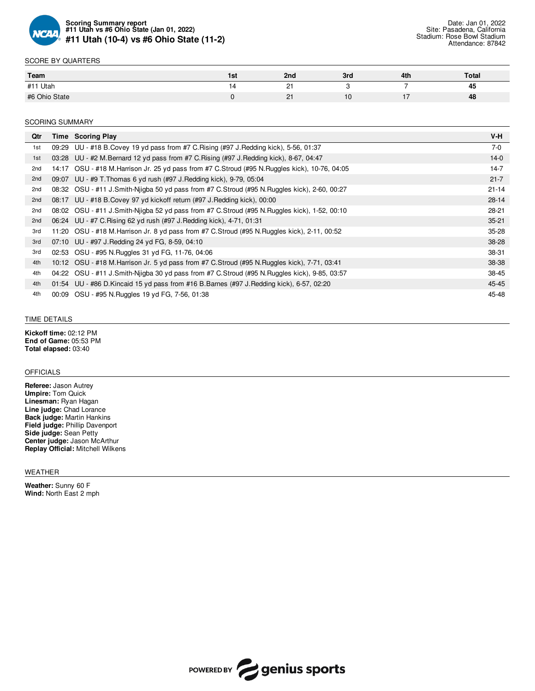

## SCORE BY QUARTERS

| Team          | 1st | 2nd                | 3rd | 4th | <b>Total</b>         |
|---------------|-----|--------------------|-----|-----|----------------------|
| Utah<br>#11   |     | $\sim$             |     |     | $\overline{a}$<br>45 |
| #6 Ohio State |     | $\sim$<br><u>.</u> | . v | . . | 48                   |

### SCORING SUMMARY

| Qtr |       | Time Scoring Play                                                                                | $V-H$     |
|-----|-------|--------------------------------------------------------------------------------------------------|-----------|
| 1st |       | 09:29 UU - #18 B. Covey 19 yd pass from #7 C. Rising (#97 J. Redding kick), 5-56, 01:37          | $7-0$     |
| 1st |       | 03:28 UU - #2 M.Bernard 12 yd pass from #7 C.Rising (#97 J.Redding kick), 8-67, 04:47            | $14-0$    |
| 2nd |       | 14:17 OSU - #18 M. Harrison Jr. 25 yd pass from #7 C. Stroud (#95 N. Ruggles kick), 10-76, 04:05 | $14 - 7$  |
| 2nd |       | 09:07 UU - #9 T. Thomas 6 yd rush (#97 J. Redding kick), 9-79, 05:04                             | $21 - 7$  |
| 2nd |       | 08:32 OSU - #11 J.Smith-Nigba 50 yd pass from #7 C.Stroud (#95 N.Ruggles kick), 2-60, 00:27      | $21 - 14$ |
| 2nd |       | 08:17 UU - #18 B. Covey 97 yd kickoff return (#97 J. Redding kick), 00:00                        | $28 - 14$ |
| 2nd |       | 08:02 OSU - #11 J.Smith-Nigba 52 yd pass from #7 C.Stroud (#95 N.Ruggles kick), 1-52, 00:10      | $28-21$   |
| 2nd |       | 06:24 UU - #7 C. Rising 62 yd rush (#97 J. Redding kick), 4-71, 01:31                            | $35 - 21$ |
| 3rd |       | 11:20 OSU - #18 M. Harrison Jr. 8 yd pass from #7 C. Stroud (#95 N. Ruggles kick), 2-11, 00:52   | $35 - 28$ |
| 3rd |       | 07:10 UU - #97 J. Redding 24 yd FG, 8-59, 04:10                                                  | 38-28     |
| 3rd |       | 02:53 OSU - #95 N. Ruggles 31 yd FG, 11-76, 04:06                                                | 38-31     |
| 4th |       | 10:12 OSU - #18 M. Harrison Jr. 5 yd pass from #7 C. Stroud (#95 N. Ruggles kick), 7-71, 03:41   | 38-38     |
| 4th |       | 04:22 OSU - #11 J.Smith-Niigba 30 yd pass from #7 C.Stroud (#95 N.Ruggles kick), 9-85, 03:57     | 38-45     |
| 4th |       | 01:54 UU - #86 D. Kincaid 15 yd pass from #16 B. Barnes (#97 J. Redding kick), 6-57, 02:20       | 45-45     |
| 4th | 00:09 | OSU - #95 N.Ruggles 19 yd FG, 7-56, 01:38                                                        | 45-48     |

#### TIME DETAILS

**Kickoff time:** 02:12 PM **End of Game:** 05:53 PM **Total elapsed:** 03:40

#### OFFICIALS

**Referee:** Jason Autrey **Umpire:** Tom Quick **Linesman:** Ryan Hagan **Line judge:** Chad Lorance **Back judge:** Martin Hankins **Field judge:** Phillip Davenport **Side judge:** Sean Petty **Center judge:** Jason McArthur **Replay Official:** Mitchell Wilkens

### WEATHER

**Weather:** Sunny 60 F **Wind:** North East 2 mph

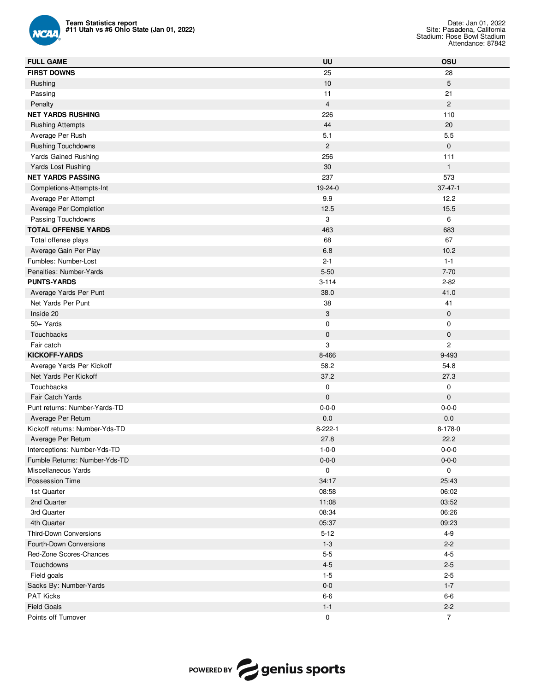

| <b>Team Statistics report</b><br>#11 Utah vs #6 Ohio State (Jan 01, 2022) |                | Date: Jan 01, 2022<br>Site: Pasadena, California<br>Stadium: Rose Bowl Stadium<br>Attendance: 87842 |
|---------------------------------------------------------------------------|----------------|-----------------------------------------------------------------------------------------------------|
| <b>FULL GAME</b>                                                          | UU             | OSU                                                                                                 |
| <b>FIRST DOWNS</b>                                                        | 25             | 28                                                                                                  |
| Rushing                                                                   | 10             | 5                                                                                                   |
| Passing                                                                   | 11             | 21                                                                                                  |
| Penalty                                                                   | $\overline{4}$ | $\mathbf{2}$                                                                                        |
| <b>NET YARDS RUSHING</b>                                                  | 226            | 110                                                                                                 |
| <b>Rushing Attempts</b>                                                   | 44             | 20                                                                                                  |
| Average Per Rush                                                          | 5.1            | 5.5                                                                                                 |
| <b>Rushing Touchdowns</b>                                                 | $\overline{c}$ | $\mathbf 0$                                                                                         |
| Yards Gained Rushing                                                      | 256            | 111                                                                                                 |
| Yards Lost Rushing                                                        | 30             | $\mathbf{1}$                                                                                        |
| <b>NET YARDS PASSING</b>                                                  | 237            | 573                                                                                                 |
| Completions-Attempts-Int                                                  | 19-24-0        | $37 - 47 - 1$                                                                                       |
| Average Per Attempt                                                       | 9.9            | 12.2                                                                                                |
| Average Per Completion                                                    | 12.5           | 15.5                                                                                                |
| Passing Touchdowns                                                        | 3              | 6                                                                                                   |
| <b>TOTAL OFFENSE YARDS</b>                                                | 463            | 683                                                                                                 |
| Total offense plays                                                       | 68             | 67                                                                                                  |
| Average Gain Per Play                                                     | 6.8            | 10.2                                                                                                |
| Fumbles: Number-Lost                                                      | $2 - 1$        | $1 - 1$                                                                                             |
| Penalties: Number-Yards                                                   | $5 - 50$       | $7 - 70$                                                                                            |
| <b>PUNTS-YARDS</b>                                                        | $3 - 114$      | $2 - 82$                                                                                            |
| Average Yards Per Punt                                                    | 38.0           | 41.0                                                                                                |
| Net Yards Per Punt                                                        | 38             | 41                                                                                                  |
| Inside 20                                                                 | 3              | $\mathbf 0$                                                                                         |
| 50+ Yards                                                                 | $\mathbf 0$    | $\mathbf 0$                                                                                         |
| Touchbacks                                                                | $\pmb{0}$      | $\mathbf 0$                                                                                         |
| Fair catch                                                                | 3              | $\overline{c}$                                                                                      |
| <b>KICKOFF-YARDS</b>                                                      | 8-466          | 9-493                                                                                               |
| Average Yards Per Kickoff                                                 | 58.2           | 54.8                                                                                                |
| Net Yards Per Kickoff                                                     | 37.2           | 27.3                                                                                                |
| Touchbacks                                                                | 0              | $\mathbf 0$                                                                                         |
| <b>Fair Catch Yards</b>                                                   | $\pmb{0}$      | $\mathbf 0$                                                                                         |
| Punt returns: Number-Yards-TD                                             | $0 - 0 - 0$    | $0 - 0 - 0$                                                                                         |
| Average Per Return                                                        | $0.0\,$        | $0.0\,$                                                                                             |
| Kickoff returns: Number-Yds-TD                                            | $8 - 222 - 1$  | 8-178-0                                                                                             |
| Average Per Return                                                        | 27.8           | 22.2                                                                                                |
| Interceptions: Number-Yds-TD                                              | $1 - 0 - 0$    | $0 - 0 - 0$                                                                                         |
| Fumble Returns: Number-Yds-TD                                             | $0 - 0 - 0$    | $0 - 0 - 0$                                                                                         |
| Miscellaneous Yards                                                       | $\mathsf 0$    | $\mathsf{O}\xspace$                                                                                 |
| Possession Time                                                           | 34:17          | 25:43                                                                                               |
| 1st Quarter                                                               | 08:58          | 06:02                                                                                               |
| 2nd Quarter                                                               | 11:08          | 03:52                                                                                               |
| 3rd Quarter                                                               | 08:34          | 06:26                                                                                               |
| 4th Quarter                                                               | 05:37          | 09:23                                                                                               |
| Third-Down Conversions                                                    | $5 - 12$       | $4-9$                                                                                               |
| Fourth-Down Conversions                                                   | $1 - 3$        | $2 - 2$                                                                                             |
| Red-Zone Scores-Chances                                                   | $5-5$          | $4 - 5$                                                                                             |
| Touchdowns                                                                | $4 - 5$        | $2 - 5$                                                                                             |
| Field goals                                                               | $1-5$          | $2 - 5$                                                                                             |
| Sacks By: Number-Yards                                                    | $0-0$          | $1 - 7$                                                                                             |
| PAT Kicks                                                                 | $6-6$          | $6-6$                                                                                               |
| <b>Field Goals</b>                                                        | $1 - 1$        | $2 - 2$                                                                                             |
| Points off Turnover                                                       | $\pmb{0}$      | $\overline{7}$                                                                                      |

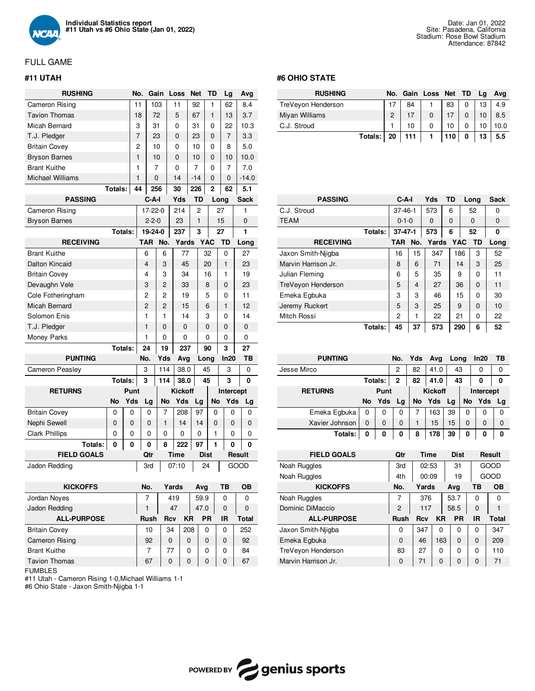

# FULL GAME

# **#11 UTAH**

| <b>RUSHING</b>          |         |         | No. | Gain           |                | Loss           |                | Net          |             | TD           |    | Lg             |             | Avg     |
|-------------------------|---------|---------|-----|----------------|----------------|----------------|----------------|--------------|-------------|--------------|----|----------------|-------------|---------|
| Cameron Rising          |         |         | 11  |                | 103            | 11             |                | 92           |             | 1            |    | 62             |             | 8.4     |
| <b>Tavion Thomas</b>    |         |         | 18  |                | 72             | 5              |                | 67           |             | $\mathbf{1}$ |    | 13             |             | 3.7     |
| Micah Bernard           |         |         | 3   | 31             |                | $\Omega$       |                | 31           |             | 0            |    | 22             |             | 10.3    |
| T.J. Pledger            |         |         | 7   |                | 23             | $\overline{0}$ |                | 23           |             | 0            |    | $\overline{7}$ |             | 3.3     |
| <b>Britain Covey</b>    |         |         | 2   |                | 10             | 0              |                | 10           |             | 0            |    | 8              |             | 5.0     |
| <b>Bryson Barnes</b>    |         |         | 1   |                | 10             | 0              |                | 10           |             | 0            |    | 10             |             | 10.0    |
| <b>Brant Kuithe</b>     |         |         | 1   |                | 7              | 0              |                | 7            |             | 0            |    | 7              |             | 7.0     |
| <b>Michael Williams</b> |         |         | 1   |                | $\mathbf 0$    | 14             |                | $-14$        |             | 0            |    | 0              |             | $-14.0$ |
|                         | Totals: |         | 44  |                | 256            | 30             |                | 226          |             | 2            |    | 62             |             | 5.1     |
| <b>PASSING</b>          |         |         |     | C-A-I          |                |                | Yds            | TD           |             | Long         |    |                | <b>Sack</b> |         |
| Cameron Rising          |         |         |     | 17-22-0        |                |                | 214            | 2            |             |              | 27 |                | 1           |         |
| <b>Bryson Barnes</b>    |         |         |     | $2 - 2 - 0$    |                |                | 23             | $\mathbf{1}$ |             |              | 15 |                | 0           |         |
|                         | Totals: |         |     | 19-24-0        |                |                | 237            | 3            |             |              | 27 |                | 1           |         |
| <b>RECEIVING</b>        |         |         |     | <b>TAR</b>     | No.            |                | Yards          |              | <b>YAC</b>  |              | TD |                | Long        |         |
| <b>Brant Kuithe</b>     |         |         |     | 6              | 6              |                | 77             |              | 32          |              |    | 0              | 27          |         |
| Dalton Kincaid          |         |         |     | 4              | 3              |                | 45             |              | 20          |              |    | $\mathbf{1}$   | 23          |         |
| <b>Britain Covey</b>    |         |         |     | 4              | 3              |                | 34             |              | 16          |              |    | 1              | 19          |         |
| Devaughn Vele           |         |         |     | 3              | 2              |                | 33             |              | 8           |              |    | 0              | 23          |         |
| Cole Fotheringham       |         |         |     | 2              | 2              |                | 19             |              | 5           |              |    | 0              | 11          |         |
| <b>Micah Bernard</b>    |         |         |     | $\overline{2}$ | $\overline{2}$ |                | 15             |              | 6           |              |    | $\mathbf{1}$   | 12          |         |
| Solomon Enis            |         |         |     | 1              | 1              |                | 14             |              | 3           |              |    | 0              | 14          |         |
| T.J. Pledger            |         |         |     | $\mathbf{1}$   | 0              |                | 0              |              | 0           |              |    | 0              | 0           |         |
| Money Parks             |         |         |     | 1              | 0              |                | 0              |              | 0           |              |    | 0              | 0           |         |
|                         | Totals: |         |     | 24             | 19             |                | 237            |              | 90          |              |    | 3              | 27          |         |
| <b>PUNTING</b>          |         |         | No. |                | Yds            |                | Avg            |              | Long        |              |    | In20           |             | TВ      |
| <b>Cameron Peasley</b>  |         |         | 3   |                | 114            |                | 38.0           |              | 45          |              |    | 3              |             | 0       |
|                         |         | Totals: | 3   |                | 114            |                | 38.0           |              | 45          |              |    | 3              |             | 0       |
| <b>RETURNS</b>          |         | Punt    |     |                |                |                | <b>Kickoff</b> |              |             |              |    | Intercept      |             |         |
|                         | No      | Yds     |     | Lg             | No             |                | Yds            | Lg           |             | <b>No</b>    |    | Yds            |             | Lg      |
| <b>Britain Covey</b>    | 0       | 0       |     | 0              | 7              |                | 208            | 97           |             | 0            |    | 0              |             | 0       |
| Nephi Sewell            | 0       | 0       |     | 0              | $\mathbf{1}$   |                | 14             | 14           |             | $\Omega$     |    | 0              |             | 0       |
| <b>Clark Phillips</b>   | 0       | 0       |     | 0              | 0              |                | 0              | 0            |             | 1            |    | 0              |             | 0       |
| Totals:                 | 0       | 0       |     | 0              | 8              |                | 222            | 97           |             | 1            |    | 0              |             | 0       |
| <b>FIELD GOALS</b>      |         |         |     | Qtr            |                | <b>Time</b>    |                |              | <b>Dist</b> |              |    |                | Result      |         |
| Jadon Redding           |         |         |     | 3rd            |                | 07:10          |                |              | 24          |              |    |                | GOOD        |         |
|                         |         |         |     |                |                |                |                |              |             |              |    |                |             |         |
|                         |         |         |     |                |                |                |                |              |             |              |    |                |             |         |

| <b>KICKOFFS</b>       | No.  | Yards    |          | Ava       | ΤВ       | OΒ    |
|-----------------------|------|----------|----------|-----------|----------|-------|
| Jordan Noyes          |      | 419      |          | 59.9      | 0        | 0     |
| Jadon Redding         | 1    | 47       |          | 47.0      | $\Omega$ | 0     |
| <b>ALL-PURPOSE</b>    | Rush | Rcv      | ΚR       | <b>PR</b> | IR       | Total |
| <b>Britain Covey</b>  | 10   | 34       | 208      | 0         | 0        | 252   |
| <b>Cameron Rising</b> | 92   | $\Omega$ | $\Omega$ | $\Omega$  | $\Omega$ | 92    |
| <b>Brant Kuithe</b>   | 7    | 77       | O        | 0         | $\Omega$ | 84    |
| <b>Tavion Thomas</b>  | 67   | 0        | 0        | $\Omega$  | $\Omega$ | 67    |

FUMBLES

#11 Utah - Cameron Rising 1-0,Michael Williams 1-1

#6 Ohio State - Jaxon Smith-Njigba 1-1

### **#6 OHIO STATE**

| <b>RUSHING</b>     |         | No.     |    | Gain Loss Net TD |     | La | Avg  |
|--------------------|---------|---------|----|------------------|-----|----|------|
| TreVeyon Henderson |         |         | 84 |                  | 83  | 13 | 4.9  |
| Miyan Williams     |         | $\circ$ |    | 0                |     | 10 | 8.5  |
| C.J. Stroud        |         |         | 10 | 0                | 10  |    | 10.0 |
|                    | Totals: | 20      |    |                  | 110 |    | 5.5  |

| <b>PASSING</b>      |         | $C-A-I$       |     | Yds   | TD |            | Long     | <b>Sack</b> |
|---------------------|---------|---------------|-----|-------|----|------------|----------|-------------|
| C.J. Stroud         |         | $37 - 46 - 1$ |     | 573   | 6  |            | 52       | 0           |
| <b>TEAM</b>         |         | $0 - 1 - 0$   |     | 0     | 0  | $\Omega$   |          | 0           |
|                     | Totals: | $37-47-1$     |     | 573   | 6  |            | 52       | 0           |
| <b>RECEIVING</b>    |         | TAR           | No. | Yards |    | <b>YAC</b> | TD.      | Long        |
| Jaxon Smith-Niigba  |         | 16            | 15  | 347   |    | 186        | 3        | 52          |
| Marvin Harrison Jr. |         | 8             | 6   | 71    |    | 14         | 3        | 25          |
| Julian Fleming      |         | 6             | 5   | 35    |    | 9          | 0        | 11          |
| TreVeyon Henderson  |         | 5             | 4   | 27    |    | 36         | $\Omega$ | 11          |
| Emeka Egbuka        |         | 3             | 3   | 46    |    | 15         | $\Omega$ | 30          |
| Jeremy Ruckert      |         | 5             | 3   | 25    |    | 9          | $\Omega$ | 10          |
| Mitch Rossi         |         | 2             | 1   | 22    |    | 21         | $\Omega$ | 22          |
|                     | Totals: | 45            | 37  | 573   |    | 290        | 6        | 52          |

| <b>PUNTING</b> |      | No.     | Yds      | Avg | Long           |    | In20      | ΤВ       |          |  |
|----------------|------|---------|----------|-----|----------------|----|-----------|----------|----------|--|
| Jesse Mirco    |      |         | 2        | 82  | 41.0           | 43 |           | 0        | 0        |  |
|                |      | Totals: | 2        | 82  | 41.0           | 43 |           | 0        | 0        |  |
| <b>RETURNS</b> | Punt |         |          |     | <b>Kickoff</b> |    | Intercept |          |          |  |
|                | No   | Yds     | Lg       | No  | Yds            | Lg | No        | Yds Lg   |          |  |
|                |      |         |          |     |                |    |           |          |          |  |
| Emeka Egbuka   | 0    | 0       | 0        | 7   | 163            | 39 | 0         | 0        | 0        |  |
| Xavier Johnson | 0    | 0       | $\Omega$ | 1   | 15             | 15 | 0         | $\Omega$ | $\Omega$ |  |

| <b>FIELD GOALS</b>  | Qtr            | Time           |     | <b>Dist</b> |           | Result |
|---------------------|----------------|----------------|-----|-------------|-----------|--------|
| Noah Ruggles        | 3rd            | 02:53          |     | 31          |           | GOOD   |
| Noah Ruggles        | 4th            | 00:09          |     | 19          |           | GOOD   |
| <b>KICKOFFS</b>     | No.            | Yards          |     | Ava         | ΤВ        | OВ     |
| Noah Ruggles        | 7              | 376            |     | 53.7        | 0         | O      |
| Dominic DiMaccio    | $\overline{2}$ | 117            |     | 58.5        | $\Omega$  |        |
| <b>ALL-PURPOSE</b>  | <b>Rush</b>    | <b>Rcv</b>     | ΚR  | <b>PR</b>   | <b>IR</b> | Total  |
| Jaxon Smith-Niigba  | 0              | 347            | O   | $\Omega$    | 0         | 347    |
| Emeka Egbuka        | $\Omega$       | 46             | 163 | $\Omega$    | 0         | 209    |
| TreVeyon Henderson  | 83             | 27             | 0   | 0           | 0         | 110    |
| Marvin Harrison Jr. | $\Omega$       | 71<br>$\Omega$ |     | $\Omega$    | 0         | 71     |

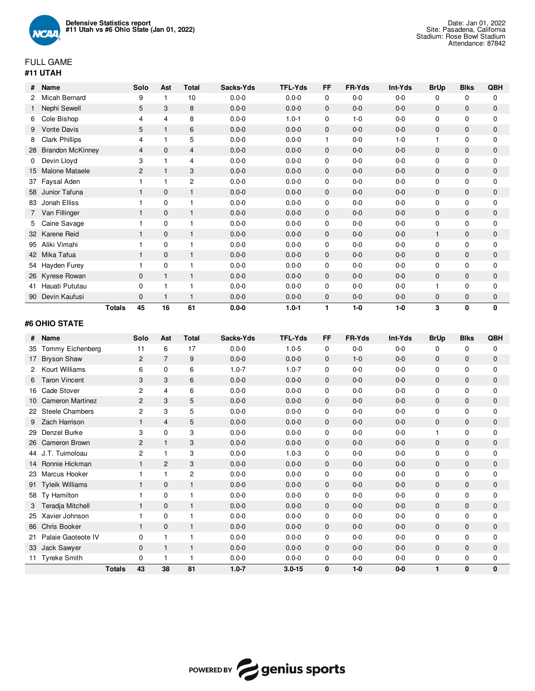

# FULL GAME **#11 UTAH**

| #  | Name                    | Solo           | Ast            | <b>Total</b>   | Sacks-Yds | <b>TFL-Yds</b> | FF           | FR-Yds  | Int-Yds | <b>BrUp</b>  | <b>Blks</b>  | QBH          |
|----|-------------------------|----------------|----------------|----------------|-----------|----------------|--------------|---------|---------|--------------|--------------|--------------|
|    | Micah Bernard           | 9              |                | 10             | $0.0 - 0$ | $0.0 - 0$      | $\mathbf 0$  | $0-0$   | $0-0$   | 0            | $\mathbf 0$  | $\mathbf 0$  |
|    | Nephi Sewell            | 5              | 3              | 8              | $0.0 - 0$ | $0.0 - 0$      | $\mathbf{0}$ | $0-0$   | $0-0$   | $\mathbf{0}$ | $\mathbf{0}$ | $\mathbf{0}$ |
| 6  | Cole Bishop             | 4              | 4              | 8              | $0.0 - 0$ | $1.0 - 1$      | 0            | $1 - 0$ | $0-0$   | 0            | 0            | 0            |
| 9. | <b>Vonte Davis</b>      | 5              | $\mathbf{1}$   | 6              | $0.0 - 0$ | $0.0 - 0$      | $\mathbf{0}$ | $0-0$   | $0-0$   | $\mathbf{0}$ | $\mathbf{0}$ | $\Omega$     |
| 8  | <b>Clark Phillips</b>   | 4              | 1              | 5              | $0.0 - 0$ | $0.0 - 0$      | 1            | $0-0$   | $1 - 0$ |              | 0            | 0            |
| 28 | <b>Brandon McKinney</b> | $\overline{4}$ | $\mathbf{0}$   | $\overline{4}$ | $0.0 - 0$ | $0.0 - 0$      | $\mathbf{0}$ | $0-0$   | $0-0$   | $\mathbf{0}$ | 0            | $\mathbf{0}$ |
| 0  | Devin Lloyd             | 3              |                | 4              | $0.0 - 0$ | $0.0 - 0$      | $\mathbf 0$  | $0-0$   | $0-0$   | $\mathbf 0$  | 0            | $\mathbf 0$  |
| 15 | Malone Mataele          | 2              | $\overline{1}$ | 3              | $0.0 - 0$ | $0.0 - 0$      | $\mathbf{0}$ | $0-0$   | $0-0$   | $\mathbf{0}$ | $\mathbf{0}$ | $\mathbf{0}$ |
| 37 | Faysal Aden             |                |                | $\overline{c}$ | $0.0 - 0$ | $0.0 - 0$      | $\mathbf 0$  | $0-0$   | $0-0$   | $\mathbf 0$  | $\mathbf 0$  | $\mathbf{0}$ |
| 58 | Junior Tafuna           |                | $\mathbf 0$    | 1              | $0.0 - 0$ | $0.0 - 0$      | 0            | $0-0$   | $0-0$   | $\mathbf 0$  | 0            | 0            |
| 83 | Jonah Elliss            |                | 0              |                | $0.0 - 0$ | $0.0 - 0$      | 0            | $0-0$   | $0-0$   | $\mathbf 0$  | $\mathbf 0$  | $\Omega$     |
|    | Van Fillinger           |                | $\mathbf{0}$   | 1              | $0.0 - 0$ | $0.0 - 0$      | $\mathbf 0$  | $0-0$   | $0-0$   | $\mathbf{0}$ | 0            | $\mathbf 0$  |
| 5. | Caine Savage            |                | 0              |                | $0.0 - 0$ | $0.0 - 0$      | 0            | $0-0$   | $0-0$   | $\mathbf 0$  | 0            | $\mathbf 0$  |
|    | 32 Karene Reid          |                | $\mathbf{0}$   | $\mathbf{1}$   | $0.0 - 0$ | $0.0 - 0$      | $\mathbf{0}$ | $0-0$   | $0-0$   | $\mathbf 1$  | $\mathbf{0}$ | $\mathbf{0}$ |
| 95 | Aliki Vimahi            |                | $\Omega$       |                | $0.0 - 0$ | $0.0 - 0$      | $\mathbf 0$  | $0-0$   | $0-0$   | $\mathbf 0$  | $\mathbf 0$  | $\mathbf 0$  |
|    | 42 Mika Tafua           |                | $\mathbf{0}$   | $\mathbf{1}$   | $0.0 - 0$ | $0.0 - 0$      | $\mathbf{0}$ | $0-0$   | $0-0$   | $\mathbf{0}$ | $\mathbf{0}$ | $\mathbf{0}$ |
|    | 54 Hayden Furey         |                | 0              |                | $0.0 - 0$ | $0.0 - 0$      | 0            | $0-0$   | $0-0$   | 0            | 0            | 0            |
|    | 26 Kyrese Rowan         | $\mathbf{0}$   | 1              | $\mathbf{1}$   | $0.0 - 0$ | $0.0 - 0$      | $\mathbf{0}$ | $0-0$   | $0-0$   | $\Omega$     | $\mathbf{0}$ | $\Omega$     |
| 41 | Hauati Pututau          | $\Omega$       | 1              |                | $0.0 - 0$ | $0.0 - 0$      | 0            | $0-0$   | $0-0$   |              | 0            | $\mathbf 0$  |
| 90 | Devin Kaufusi           | $\mathbf{0}$   | $\mathbf{1}$   | 1              | $0.0 - 0$ | $0.0 - 0$      | $\mathbf{0}$ | $0-0$   | $0-0$   | $\mathbf{0}$ | 0            | $\mathbf{0}$ |
|    | <b>Totals</b>           | 45             | 16             | 61             | $0.0 - 0$ | $1.0 - 1$      | 1            | $1-0$   | $1-0$   | 3            | 0            | 0            |

# **#6 OHIO STATE**

| #  | <b>Name</b>             |               | Solo           | Ast            | <b>Total</b>   | Sacks-Yds | <b>TFL-Yds</b> | <b>FF</b>    | FR-Yds  | Int-Yds | <b>BrUp</b>  | <b>Blks</b>  | QBH          |
|----|-------------------------|---------------|----------------|----------------|----------------|-----------|----------------|--------------|---------|---------|--------------|--------------|--------------|
| 35 | Tommy Eichenberg        |               | 11             | 6              | 17             | $0.0 - 0$ | $1.0 - 5$      | $\mathbf{0}$ | $0-0$   | $0-0$   | $\mathbf 0$  | $\mathbf 0$  | 0            |
| 17 | <b>Bryson Shaw</b>      |               | 2              | $\overline{7}$ | 9              | $0.0 - 0$ | $0.0 - 0$      | $\mathbf 0$  | $1-0$   | $0-0$   | 0            | $\mathbf 0$  | 0            |
|    | Kourt Williams          |               | 6              | $\Omega$       | 6              | $1.0 - 7$ | $1.0 - 7$      | $\mathbf 0$  | $0 - 0$ | $0-0$   | $\mathbf 0$  | $\mathbf 0$  | 0            |
| 6. | <b>Taron Vincent</b>    |               | 3              | 3              | 6              | $0.0 - 0$ | $0.0 - 0$      | $\mathbf{0}$ | $0-0$   | $0-0$   | $\mathbf 0$  | $\mathbf 0$  | 0            |
| 16 | Cade Stover             |               | 2              | 4              | 6              | $0.0 - 0$ | $0.0 - 0$      | $\mathbf 0$  | $0-0$   | $0-0$   | $\mathbf 0$  | $\mathbf 0$  | $\mathbf 0$  |
| 10 | <b>Cameron Martinez</b> |               | $\overline{2}$ | 3              | 5              | $0.0 - 0$ | $0.0 - 0$      | $\mathbf{0}$ | $0-0$   | $0-0$   | $\mathbf 0$  | $\mathbf{0}$ | 0            |
| 22 | <b>Steele Chambers</b>  |               | $\overline{c}$ | 3              | 5              | $0.0 - 0$ | $0.0 - 0$      | 0            | $0-0$   | $0-0$   | $\mathbf 0$  | 0            | $\mathbf 0$  |
| 9  | Zach Harrison           |               |                | 4              | 5              | $0.0 - 0$ | $0.0 - 0$      | $\mathbf 0$  | $0-0$   | $0-0$   | $\mathbf{0}$ | $\mathbf 0$  | 0            |
| 29 | Denzel Burke            |               | 3              | $\mathbf 0$    | 3              | $0.0 - 0$ | $0.0 - 0$      | 0            | $0-0$   | $0-0$   | 1            | $\mathbf 0$  | $\mathbf 0$  |
| 26 | Cameron Brown           |               | $\overline{2}$ | $\mathbf{1}$   | 3              | $0.0 - 0$ | $0.0 - 0$      | $\mathbf{0}$ | $0 - 0$ | $0-0$   | $\mathbf 0$  | $\mathbf 0$  | 0            |
| 44 | J.T. Tuimoloau          |               | $\overline{c}$ | 1              | 3              | $0.0 - 0$ | $1.0 - 3$      | $\mathbf 0$  | $0-0$   | $0-0$   | $\mathbf 0$  | $\mathbf 0$  | $\mathbf 0$  |
| 14 | Ronnie Hickman          |               |                | $\overline{2}$ | 3              | $0.0 - 0$ | $0.0 - 0$      | $\mathbf{0}$ | $0 - 0$ | $0-0$   | $\mathbf 0$  | $\mathbf 0$  | 0            |
| 23 | Marcus Hooker           |               |                | 1              | $\overline{c}$ | $0.0 - 0$ | $0.0 - 0$      | 0            | $0-0$   | $0-0$   | $\mathbf 0$  | 0            | 0            |
| 91 | <b>Tyleik Williams</b>  |               |                | $\Omega$       | $\mathbf{1}$   | $0.0 - 0$ | $0.0 - 0$      | $\Omega$     | $0-0$   | $0-0$   | $\Omega$     | $\mathbf 0$  | $\mathbf{0}$ |
| 58 | Ty Hamilton             |               |                | 0              | $\mathbf{1}$   | $0.0 - 0$ | $0.0 - 0$      | 0            | $0-0$   | $0-0$   | $\mathbf 0$  | 0            | $\mathbf 0$  |
| 3  | Teradja Mitchell        |               |                | $\mathbf{0}$   | $\mathbf{1}$   | $0.0 - 0$ | $0.0 - 0$      | $\mathbf{0}$ | $0-0$   | $0-0$   | $\mathbf 0$  | $\mathbf{0}$ | 0            |
| 25 | Xavier Johnson          |               |                | $\mathbf 0$    | 1              | $0.0 - 0$ | $0.0 - 0$      | 0            | $0-0$   | $0-0$   | $\mathbf 0$  | $\mathbf 0$  | $\mathbf 0$  |
| 86 | Chris Booker            |               |                | $\mathbf{0}$   | $\mathbf{1}$   | $0.0 - 0$ | $0.0 - 0$      | $\mathbf{0}$ | $0 - 0$ | $0-0$   | $\mathbf 0$  | $\mathbf 0$  | 0            |
| 21 | Palaie Gaoteote IV      |               | $\Omega$       | 1              | 1              | $0.0 - 0$ | $0.0 - 0$      | 0            | $0-0$   | $0-0$   | $\mathbf 0$  | 0            | 0            |
| 33 | Jack Sawyer             |               | $\Omega$       | $\overline{1}$ |                | $0.0 - 0$ | $0.0 - 0$      | $\mathbf{0}$ | $0 - 0$ | $0-0$   | $\Omega$     | $\mathbf 0$  | 0            |
| 11 | <b>Tyreke Smith</b>     |               | 0              | 1              | 1              | $0.0 - 0$ | $0.0 - 0$      | 0            | $0-0$   | $0-0$   | 0            | 0            | 0            |
|    |                         | <b>Totals</b> | 43             | 38             | 81             | $1.0 - 7$ | $3.0 - 15$     | 0            | $1 - 0$ | $0-0$   | 1            | $\bf{0}$     | 0            |

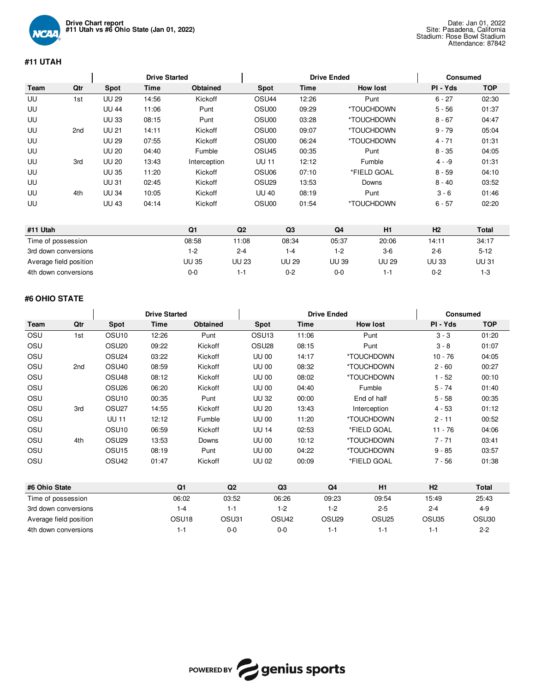

# **#11 UTAH**

|      |     |              | <b>Drive Started</b> |              |                   | <b>Drive Ended</b> |                 | <b>Consumed</b> |            |
|------|-----|--------------|----------------------|--------------|-------------------|--------------------|-----------------|-----------------|------------|
| Team | Qtr | Spot         | Time                 | Obtained     | Spot              | <b>Time</b>        | <b>How lost</b> | PI - Yds        | <b>TOP</b> |
| UU   | 1st | <b>UU 29</b> | 14:56                | Kickoff      | OSU <sub>44</sub> | 12:26              | Punt            | $6 - 27$        | 02:30      |
| UU   |     | <b>UU 44</b> | 11:06                | Punt         | OSU00             | 09:29              | *TOUCHDOWN      | $5 - 56$        | 01:37      |
| UU   |     | <b>UU 33</b> | 08:15                | Punt         | OSU00             | 03:28              | *TOUCHDOWN      | $8 - 67$        | 04:47      |
| UU   | 2nd | <b>UU 21</b> | 14:11                | Kickoff      | OSU00             | 09:07              | *TOUCHDOWN      | $9 - 79$        | 05:04      |
| UU   |     | <b>UU 29</b> | 07:55                | Kickoff      | OSU00             | 06:24              | *TOUCHDOWN      | $4 - 71$        | 01:31      |
| UU   |     | <b>UU 20</b> | 04:40                | Fumble       | OSU <sub>45</sub> | 00:35              | Punt            | $8 - 35$        | 04:05      |
| UU   | 3rd | <b>UU 20</b> | 13:43                | Interception | <b>UU 11</b>      | 12:12              | Fumble          | $4 - 9$         | 01:31      |
| UU   |     | <b>UU 35</b> | 11:20                | Kickoff      | OSU <sub>06</sub> | 07:10              | *FIELD GOAL     | $8 - 59$        | 04:10      |
| UU   |     | <b>UU 31</b> | 02:45                | Kickoff      | OSU <sub>29</sub> | 13:53              | Downs           | $8 - 40$        | 03:52      |
| UU   | 4th | <b>UU 34</b> | 10:05                | Kickoff      | <b>UU 40</b>      | 08:19              | Punt            | $3 - 6$         | 01:46      |
| UU   |     | <b>UU 43</b> | 04:14                | Kickoff      | OSU00             | 01:54              | *TOUCHDOWN      | $6 - 57$        | 02:20      |

| #11 Utah               | Q1           | Q2           | Q3      | Q4           | H <sub>1</sub> | H <sub>2</sub> | Total        |
|------------------------|--------------|--------------|---------|--------------|----------------|----------------|--------------|
| Time of possession     | 08:58        | 1:08         | 08:34   | 05:37        | 20:06          | 14:11          | 34:17        |
| 3rd down conversions   | 1-2          | $2 - 4$      | 1-4     | 1-2          | $3-6$          | $2 - 6$        | $5 - 12$     |
| Average field position | <b>UU 35</b> | <b>UU 23</b> | UU 29   | <b>UU 39</b> | UU 29          | <b>UU 33</b>   | <b>UU 31</b> |
| 4th down conversions   | $0 - 0$      | 1-1          | $0 - 2$ | 0-0          |                | 0-2            | 1-3          |

# **#6 OHIO STATE**

|                    |                        |                   | <b>Drive Started</b> |          |                   | <b>Drive Ended</b> |                   | Consumed           |           |              |  |
|--------------------|------------------------|-------------------|----------------------|----------|-------------------|--------------------|-------------------|--------------------|-----------|--------------|--|
| Team               | Qtr                    | <b>Spot</b>       | Time                 | Obtained | Spot              | Time               |                   | <b>How lost</b>    | PI - Yds  | <b>TOP</b>   |  |
| OSU                | 1st                    | OSU <sub>10</sub> | 12:26                | Punt     | OSU <sub>13</sub> | 11:06              |                   | Punt               | $3 - 3$   | 01:20        |  |
| OSU                |                        | OSU <sub>20</sub> | 09:22                | Kickoff  | OSU <sub>28</sub> | 08:15              |                   | Punt               | $3 - 8$   | 01:07        |  |
| OSU                |                        | OSU <sub>24</sub> | 03:22                | Kickoff  | <b>UU 00</b>      | 14:17              |                   | *TOUCHDOWN         | $10 - 76$ | 04:05        |  |
| OSU                | 2nd                    | OSU <sub>40</sub> | 08:59                | Kickoff  | <b>UU 00</b>      | 08:32              |                   | *TOUCHDOWN         | $2 - 60$  | 00:27        |  |
| OSU                |                        | OSU <sub>48</sub> | 08:12                | Kickoff  | <b>UU 00</b>      | 08:02              |                   | *TOUCHDOWN         | $1 - 52$  | 00:10        |  |
| OSU                |                        | OSU <sub>26</sub> | 06:20                | Kickoff  | <b>UU 00</b>      | 04:40              |                   | Fumble             | $5 - 74$  | 01:40        |  |
| OSU                |                        | OSU <sub>10</sub> | 00:35                | Punt     | <b>UU 32</b>      | 00:00              |                   | End of half        | $5 - 58$  | 00:35        |  |
| OSU                | 3rd                    | OSU <sub>27</sub> | 14:55                | Kickoff  | <b>UU 20</b>      | 13:43              |                   | Interception       | $4 - 53$  | 01:12        |  |
| OSU                |                        | <b>UU 11</b>      | 12:12                | Fumble   | <b>UU 00</b>      | 11:20              |                   | *TOUCHDOWN         | $2 - 11$  | 00:52        |  |
| OSU                |                        | OSU <sub>10</sub> | 06:59                | Kickoff  | <b>UU 14</b>      | 02:53              |                   | *FIELD GOAL        | $11 - 76$ | 04:06        |  |
| OSU                | 4th                    | OSU <sub>29</sub> | 13:53                | Downs    | <b>UU 00</b>      | 10:12              |                   | *TOUCHDOWN         | $7 - 71$  | 03:41        |  |
| OSU                |                        | OSU <sub>15</sub> | 08:19                | Punt     | <b>UU 00</b>      | 04:22              |                   | *TOUCHDOWN         | $9 - 85$  | 03:57        |  |
| OSU                |                        | OSU <sub>42</sub> | 01:47                | Kickoff  | <b>UU 02</b>      | 00:09              |                   | *FIELD GOAL        | $7 - 56$  | 01:38        |  |
| #6 Ohio State      |                        |                   | Q1                   | Q2       |                   | Q3                 | Q <sub>4</sub>    | H1                 | H2        | <b>Total</b> |  |
| Time of possession |                        |                   | 06:02                | 03:52    |                   | 06:26              | 09:23             | 09:54              | 15:49     | 25:43        |  |
|                    | 3rd down conversions   |                   | $1 - 4$              | $1 - 1$  |                   | $1 - 2$            | $1-2$             | $2 - 4$<br>$2 - 5$ |           | $4-9$        |  |
|                    | Average field position |                   | OSU <sub>18</sub>    | OSU31    |                   | OSU <sub>42</sub>  | OSU <sub>29</sub> | OSU <sub>25</sub>  | OSU35     | OSU30        |  |

4th down conversions 1-1 0-0 0-0 1-1 1-1 1-1 2-2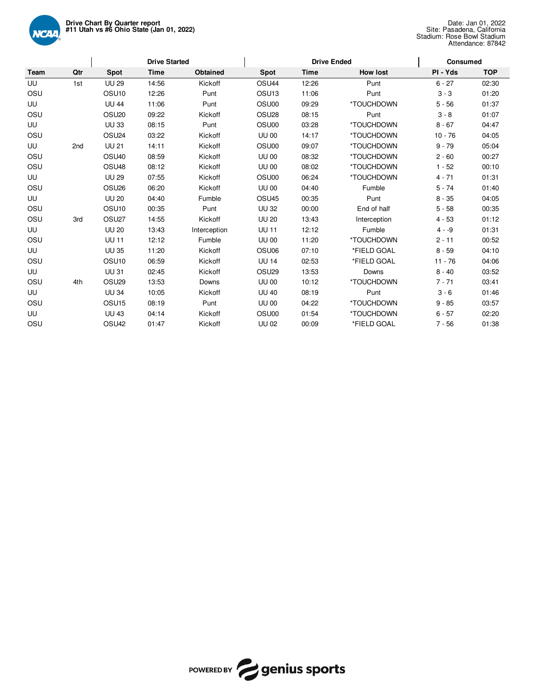

|      |     | <b>Drive Started</b> |       |              | <b>Drive Ended</b> | Consumed    |                 |           |            |
|------|-----|----------------------|-------|--------------|--------------------|-------------|-----------------|-----------|------------|
| Team | Qtr | <b>Spot</b>          | Time  | Obtained     | Spot               | <b>Time</b> | <b>How lost</b> | PI - Yds  | <b>TOP</b> |
| UU   | 1st | <b>UU 29</b>         | 14:56 | Kickoff      | OSU <sub>44</sub>  | 12:26       | Punt            | $6 - 27$  | 02:30      |
| OSU  |     | OSU <sub>10</sub>    | 12:26 | Punt         | OSU <sub>13</sub>  | 11:06       | Punt            | $3 - 3$   | 01:20      |
| UU   |     | <b>UU 44</b>         | 11:06 | Punt         | OSU00              | 09:29       | *TOUCHDOWN      | $5 - 56$  | 01:37      |
| OSU  |     | OSU <sub>20</sub>    | 09:22 | Kickoff      | OSU <sub>28</sub>  | 08:15       | Punt            | $3 - 8$   | 01:07      |
| UU   |     | <b>UU 33</b>         | 08:15 | Punt         | OSU00              | 03:28       | *TOUCHDOWN      | $8 - 67$  | 04:47      |
| OSU  |     | OSU <sub>24</sub>    | 03:22 | Kickoff      | <b>UU 00</b>       | 14:17       | *TOUCHDOWN      | $10 - 76$ | 04:05      |
| UU   | 2nd | <b>UU 21</b>         | 14:11 | Kickoff      | OSU00              | 09:07       | *TOUCHDOWN      | $9 - 79$  | 05:04      |
| OSU  |     | OSU <sub>40</sub>    | 08:59 | Kickoff      | <b>UU 00</b>       | 08:32       | *TOUCHDOWN      | $2 - 60$  | 00:27      |
| OSU  |     | OSU <sub>48</sub>    | 08:12 | Kickoff      | <b>UU 00</b>       | 08:02       | *TOUCHDOWN      | $1 - 52$  | 00:10      |
| UU   |     | <b>UU 29</b>         | 07:55 | Kickoff      | OSU00              | 06:24       | *TOUCHDOWN      | $4 - 71$  | 01:31      |
| OSU  |     | OSU <sub>26</sub>    | 06:20 | Kickoff      | <b>UU 00</b>       | 04:40       | Fumble          | $5 - 74$  | 01:40      |
| UU   |     | <b>UU 20</b>         | 04:40 | Fumble       | OSU <sub>45</sub>  | 00:35       | Punt            | $8 - 35$  | 04:05      |
| OSU  |     | OSU <sub>10</sub>    | 00:35 | Punt         | <b>UU 32</b>       | 00:00       | End of half     | $5 - 58$  | 00:35      |
| OSU  | 3rd | OSU <sub>27</sub>    | 14:55 | Kickoff      | <b>UU 20</b>       | 13:43       | Interception    | $4 - 53$  | 01:12      |
| UU   |     | <b>UU 20</b>         | 13:43 | Interception | <b>UU 11</b>       | 12:12       | Fumble          | $4 - 9$   | 01:31      |
| OSU  |     | <b>UU 11</b>         | 12:12 | Fumble       | <b>UU 00</b>       | 11:20       | *TOUCHDOWN      | $2 - 11$  | 00:52      |
| UU   |     | <b>UU 35</b>         | 11:20 | Kickoff      | OSU06              | 07:10       | *FIELD GOAL     | $8 - 59$  | 04:10      |
| OSU  |     | OSU <sub>10</sub>    | 06:59 | Kickoff      | <b>UU 14</b>       | 02:53       | *FIELD GOAL     | $11 - 76$ | 04:06      |
| UU   |     | <b>UU 31</b>         | 02:45 | Kickoff      | OSU <sub>29</sub>  | 13:53       | Downs           | $8 - 40$  | 03:52      |
| OSU  | 4th | OSU <sub>29</sub>    | 13:53 | Downs        | <b>UU 00</b>       | 10:12       | *TOUCHDOWN      | $7 - 71$  | 03:41      |
| UU   |     | <b>UU 34</b>         | 10:05 | Kickoff      | <b>UU 40</b>       | 08:19       | Punt            | $3 - 6$   | 01:46      |
| OSU  |     | OSU <sub>15</sub>    | 08:19 | Punt         | <b>UU 00</b>       | 04:22       | *TOUCHDOWN      | $9 - 85$  | 03:57      |
| UU   |     | <b>UU 43</b>         | 04:14 | Kickoff      | OSU00              | 01:54       | *TOUCHDOWN      | $6 - 57$  | 02:20      |
| OSU  |     | OSU <sub>42</sub>    | 01:47 | Kickoff      | <b>UU 02</b>       | 00:09       | *FIELD GOAL     | $7 - 56$  | 01:38      |

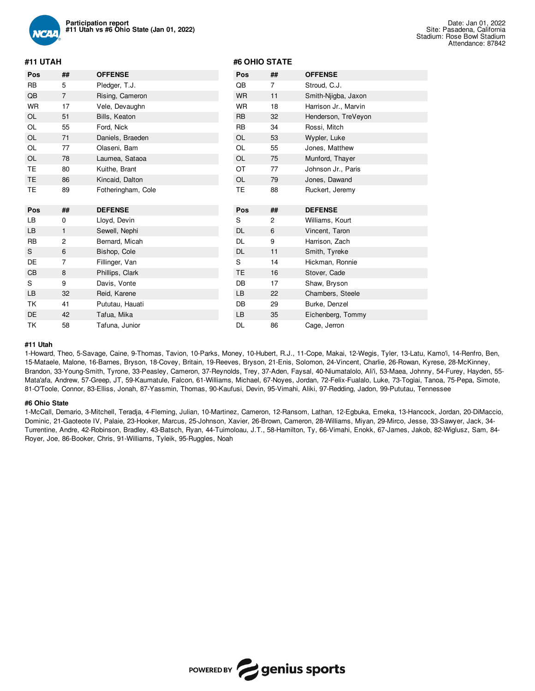

### **#11 UTAH**

| Pos | ##             | <b>OFFENSE</b>     | Pos       | ##             | <b>OFFENSE</b>       |
|-----|----------------|--------------------|-----------|----------------|----------------------|
| RB  | 5              | Pledger, T.J.      | QB        | 7              | Stroud, C.J.         |
| QB  | $\overline{7}$ | Rising, Cameron    | <b>WR</b> | 11             | Smith-Njigba, Jaxon  |
| WR  | 17             | Vele, Devaughn     | <b>WR</b> | 18             | Harrison Jr., Marvin |
| OL  | 51             | Bills, Keaton      | <b>RB</b> | 32             | Henderson, TreVeyon  |
| OL  | 55             | Ford, Nick         | <b>RB</b> | 34             | Rossi, Mitch         |
| OL  | 71             | Daniels, Braeden   | <b>OL</b> | 53             | Wypler, Luke         |
| OL  | 77             | Olaseni, Bam       | <b>OL</b> | 55             | Jones, Matthew       |
| OL  | 78             | Laumea, Sataoa     | OL        | 75             | Munford, Thayer      |
| ТE  | 80             | Kuithe, Brant      | OT        | 77             | Johnson Jr., Paris   |
| TE  | 86             | Kincaid, Dalton    | <b>OL</b> | 79             | Jones, Dawand        |
| ТE  | 89             | Fotheringham, Cole | <b>TE</b> | 88             | Ruckert, Jeremy      |
|     |                |                    |           |                |                      |
| Pos | ##             | <b>DEFENSE</b>     | Pos       | ##             | <b>DEFENSE</b>       |
| LB  | 0              | Lloyd, Devin       | S         | $\overline{c}$ | Williams, Kourt      |
| LВ  | 1              | Sewell, Nephi      | <b>DL</b> | 6              | Vincent, Taron       |
| RB  | 2              | Bernard, Micah     | <b>DL</b> | 9              | Harrison, Zach       |
| S   | 6              | Bishop, Cole       | <b>DL</b> | 11             | Smith, Tyreke        |
| DE  | 7              | Fillinger, Van     | S         | 14             | Hickman, Ronnie      |
| CВ  | 8              | Phillips, Clark    | TE        | 16             | Stover, Cade         |
| S   | 9              | Davis, Vonte       | DB        | 17             | Shaw, Bryson         |
| LВ  | 32             | Reid, Karene       | <b>LB</b> | 22             | Chambers, Steele     |
| TΚ  | 41             | Pututau, Hauati    | DB        | 29             | Burke, Denzel        |
| DE  | 42             | Tafua, Mika        | <b>LB</b> | 35             | Eichenberg, Tommy    |

**#6 OHIO STATE**

#### **#11 Utah**

1-Howard, Theo, 5-Savage, Caine, 9-Thomas, Tavion, 10-Parks, Money, 10-Hubert, R.J., 11-Cope, Makai, 12-Wegis, Tyler, 13-Latu, Kamo'i, 14-Renfro, Ben, 15-Mataele, Malone, 16-Barnes, Bryson, 18-Covey, Britain, 19-Reeves, Bryson, 21-Enis, Solomon, 24-Vincent, Charlie, 26-Rowan, Kyrese, 28-McKinney, Brandon, 33-Young-Smith, Tyrone, 33-Peasley, Cameron, 37-Reynolds, Trey, 37-Aden, Faysal, 40-Niumatalolo, Ali'i, 53-Maea, Johnny, 54-Furey, Hayden, 55- Mata'afa, Andrew, 57-Greep, JT, 59-Kaumatule, Falcon, 61-Williams, Michael, 67-Noyes, Jordan, 72-Felix-Fualalo, Luke, 73-Togiai, Tanoa, 75-Pepa, Simote, 81-O'Toole, Connor, 83-Elliss, Jonah, 87-Yassmin, Thomas, 90-Kaufusi, Devin, 95-Vimahi, Aliki, 97-Redding, Jadon, 99-Pututau, Tennessee

#### **#6 Ohio State**

1-McCall, Demario, 3-Mitchell, Teradja, 4-Fleming, Julian, 10-Martinez, Cameron, 12-Ransom, Lathan, 12-Egbuka, Emeka, 13-Hancock, Jordan, 20-DiMaccio, Dominic, 21-Gaoteote IV, Palaie, 23-Hooker, Marcus, 25-Johnson, Xavier, 26-Brown, Cameron, 28-Williams, Miyan, 29-Mirco, Jesse, 33-Sawyer, Jack, 34- Turrentine, Andre, 42-Robinson, Bradley, 43-Batsch, Ryan, 44-Tuimoloau, J.T., 58-Hamilton, Ty, 66-Vimahi, Enokk, 67-James, Jakob, 82-Wiglusz, Sam, 84- Royer, Joe, 86-Booker, Chris, 91-Williams, Tyleik, 95-Ruggles, Noah

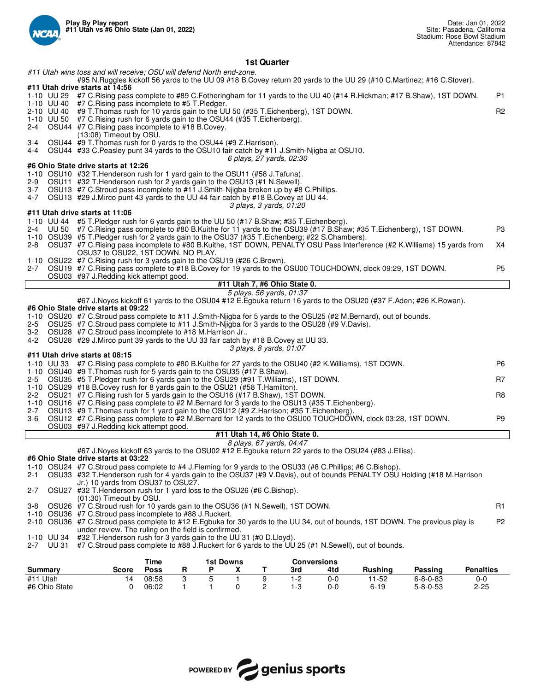

## **1st Quarter**

*#11 Utah wins toss and will receive; OSU will defend North end-zone.* #95 N.Ruggles kickoff 56 yards to the UU 09 #18 B.Covey return 20 yards to the UU 29 (#10 C.Martinez; #16 C.Stover). **#11 Utah drive starts at 14:56** 1-10 UU 29 #7 C.Rising pass complete to #89 C.Fotheringham for 11 yards to the UU 40 (#14 R.Hickman; #17 B.Shaw), 1ST DOWN. P1 1-10 UU 40 #7 C.Rising pass incomplete to #5 T.Pledger. 2-10 UU 40 #9 T.Thomas rush for 10 yards gain to the UU 50 (#35 T.Eichenberg), 1ST DOWN.<br>1-10 UU 50 #7 C.Rising rush for 6 yards gain to the OSU44 (#35 T.Eichenberg). 1-10 UU 50 #7 C.Rising rush for 6 yards gain to the OSU44 (#35 T.Eichenberg). 2-4 OSU44 #7 C.Rising pass incomplete to #18 B.Covey. (13:08) Timeout by OSU. 3-4 OSU44 #9 T.Thomas rush for 0 yards to the OSU44 (#9 Z.Harrison). 4-4 OSU44 #33 C.Peasley punt 34 yards to the OSU10 fair catch by #11 J.Smith-Njigba at OSU10. *6 plays, 27 yards, 02:30* **#6 Ohio State drive starts at 12:26** 1-10 OSU10 #32 T.Henderson rush for 1 yard gain to the OSU11 (#58 J.Tafuna). OSU11 #32 T.Henderson rush for 2 yards gain to the OSU13 (#1 N.Sewell). 3-7 OSU13 #7 C.Stroud pass incomplete to #11 J.Smith-Njigba broken up by #8 C.Phillips. 4-7 OSU13 #29 J.Mirco punt 43 yards to the UU 44 fair catch by #18 B.Covey at UU 44. *3 plays, 3 yards, 01:20* **#11 Utah drive starts at 11:06** 1-10 UU 44 #5 T.Pledger rush for 6 yards gain to the UU 50 (#17 B.Shaw; #35 T.Eichenberg). 2-4 UU 50 #7 C.Rising pass complete to #80 B.Kuithe for 11 yards to the OSU39 (#17 B.Shaw; #35 T.Eichenberg), 1ST DOWN. P3 1-10 OSU39 #5 T.Pledger rush for 2 yards gain to the OSU37 (#35 T.Eichenberg; #22 S.Chambers). 2-8 OSU37 #7 C.Rising pass incomplete to #80 B.Kuithe, 1ST DOWN, PENALTY OSU Pass Interference (#2 K.Williams) 15 yards from OSU37 to OSU22, 1ST DOWN. NO PLAY. X4 1-10 OSU22 #7 C.Rising rush for 3 yards gain to the OSU19 (#26 C.Brown). 2-7 OSU19 #7 C.Rising pass complete to #18 B.Covey for 19 yards to the OSU00 TOUCHDOWN, clock 09:29, 1ST DOWN. OSU03 #97 J.Redding kick attempt good. **#11 Utah 7, #6 Ohio State 0.** *5 plays, 56 yards, 01:37* #67 J.Noyes kickoff 61 yards to the OSU04 #12 E.Egbuka return 16 yards to the OSU20 (#37 F.Aden; #26 K.Rowan). **#6 Ohio State drive starts at 09:22** 1-10 OSU20 #7 C.Stroud pass complete to #11 J.Smith-Njigba for 5 yards to the OSU25 (#2 M.Bernard), out of bounds.<br>2-5 OSU25 #7 C.Stroud pass complete to #11 J.Smith-Nijgba for 3 yards to the OSU28 (#9 V.Davis). 2-5 OSU25 #7 C.Stroud pass complete to #11 J.Smith-Njigba for 3 yards to the OSU28 (#9 V.Davis). 3-2 OSU28 #7 C.Stroud pass incomplete to #18 M.Harrison Jr.. 4-2 OSU28 #29 J.Mirco punt 39 yards to the UU 33 fair catch by #18 B.Covey at UU 33. *3 plays, 8 yards, 01:07* **#11 Utah drive starts at 08:15** 1-10 UU 33 #7 C.Rising pass complete to #80 B.Kuithe for 27 yards to the OSU40 (#2 K.Williams), 1ST DOWN. P6 1-10 OSU40 #9 T.Thomas rush for 5 yards gain to the OSU35 (#17 B.Shaw). 2-5 OSU35 #5 T.Pledger rush for 6 yards gain to the OSU29 (#91 T.Williams), 1ST DOWN. 1-10 OSU29 #18 B.Covey rush for 8 yards gain to the OSU21 (#58 T.Hamilton). 2-2 OSU21 #7 C.Rising rush for 5 yards gain to the OSU16 (#17 B.Shaw), 1ST DOWN. 1-10 OSU16 #7 C.Rising pass complete to #2 M.Bernard for 3 yards to the OSU13 (#35 T.Eichenberg). 2-7 OSU13 #9 T.Thomas rush for 1 yard gain to the OSU12 (#9 Z.Harrison; #35 T.Eichenberg)<br>3-6 OSU12 #7 C.Rising pass complete to #2 M.Bernard for 12 yards to the OSU00 TOUCHDO 3-6 OSU12 #7 C.Rising pass complete to #2 M.Bernard for 12 yards to the OSU00 TOUCHDOWN, clock 03:28, 1ST DOWN. P9 OSU03 #97 J.Redding kick attempt good. **#11 Utah 14, #6 Ohio State 0.** *8 plays, 67 yards, 04:47* #67 J.Noyes kickoff 63 yards to the OSU02 #12 E.Egbuka return 22 yards to the OSU24 (#83 J.Elliss). **#6 Ohio State drive starts at 03:22** 1-10 OSU24 #7 C.Stroud pass complete to #4 J.Fleming for 9 yards to the OSU33 (#8 C.Phillips; #6 C.Bishop). 2-1 OSU33 #32 T.Henderson rush for 4 yards gain to the OSU37 (#9 V.Davis), out of bounds PENALTY OSU Holding (#18 M.Harrison Jr.) 10 yards from OSU37 to OSU27. 2-7 OSU27 #32 T.Henderson rush for 1 yard loss to the OSU26 (#6 C.Bishop). (01:30) Timeout by OSU. 3-8 OSU26 #7 C.Stroud rush for 10 yards gain to the OSU36 (#1 N.Sewell), 1ST DOWN. <br>R1 1-10 OSU36 #7 C.Stroud pass incomplete to #88 J.Ruckert. 2-10 OSU36 #7 C.Stroud pass complete to #12 E.Egbuka for 30 yards to the UU 34, out of bounds, 1ST DOWN. The previous play is under review. The ruling on the field is confirmed. P2 1-10 UU 34 #32 T.Henderson rush for 3 yards gain to the UU 31 (#0 D.Lloyd). #7 C.Stroud pass complete to #88 J.Ruckert for 6 yards to the UU 25 (#1 N.Sewell), out of bounds. **Time 1st Downs Conversions Summary Score Poss R P X T 3rd 4td Rushing Passing Penalties** #11 Utah 14 08:58 3 5 1 9 1-2 0-0 11-52 6-8-0-83 0-0



#6 Ohio State 0 06:02 1 1 0 2 1-3 0-0 6-19 5-8-0-53 2-25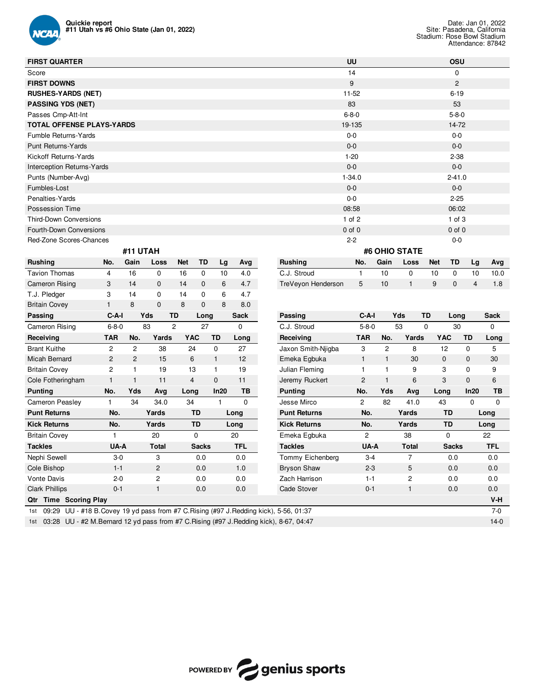

| <b>FIRST QUARTER</b>                                                   | <b>UU</b>                                    | <b>OSU</b>                    |
|------------------------------------------------------------------------|----------------------------------------------|-------------------------------|
| Score                                                                  | 14                                           | $\mathbf 0$                   |
| <b>FIRST DOWNS</b>                                                     | 9                                            | $\overline{2}$                |
| <b>RUSHES-YARDS (NET)</b>                                              | $11 - 52$                                    | $6 - 19$                      |
| <b>PASSING YDS (NET)</b>                                               | 83                                           | 53                            |
| Passes Cmp-Att-Int                                                     | $6 - 8 - 0$                                  | $5 - 8 - 0$                   |
| <b>TOTAL OFFENSE PLAYS-YARDS</b>                                       | 19-135                                       | $14 - 72$                     |
| Fumble Returns-Yards                                                   | $0-0$                                        | $0-0$                         |
| Punt Returns-Yards                                                     | $0-0$                                        | $0-0$                         |
| Kickoff Returns-Yards                                                  | $1-20$                                       | $2 - 38$                      |
| Interception Returns-Yards                                             | $0 - 0$                                      | $0-0$                         |
| Punts (Number-Avg)                                                     | $1 - 34.0$                                   | $2 - 41.0$                    |
| Fumbles-Lost                                                           | $0 - 0$                                      | $0-0$                         |
| Penalties-Yards                                                        | $0-0$                                        | $2 - 25$                      |
| Possession Time                                                        | 08:58                                        | 06:02                         |
| <b>Third-Down Conversions</b>                                          | $1$ of $2$                                   | $1$ of $3$                    |
| Fourth-Down Conversions                                                | $0$ of $0$                                   | $0$ of $0$                    |
| Red-Zone Scores-Chances                                                | $2 - 2$                                      | $0-0$                         |
| #11 UTAH                                                               | #6 OHIO STATE                                |                               |
| <b>Rushing</b><br><b>Net</b><br>TD<br>Avg<br>No.<br>Gain<br>Lg<br>Loss | <b>Rushing</b><br>No.<br>Gain<br><b>Loss</b> | TD<br><b>Net</b><br>Avg<br>Lg |

| nusning                         | INO.           | uam            | LOSS           | net            | ט ו          | ∟g           | Avg         | Rusning                                                                           | INO.           | uain         | LOSS         | <b>Net</b> | ט ו          | ∟g           | Avg         |
|---------------------------------|----------------|----------------|----------------|----------------|--------------|--------------|-------------|-----------------------------------------------------------------------------------|----------------|--------------|--------------|------------|--------------|--------------|-------------|
| <b>Tavion Thomas</b>            | 4              | 16             | $\mathbf 0$    | 16             | 0            | 10           | 4.0         | C.J. Stroud                                                                       | 1              | 10           | 0            | 10         | 0            | 10           | 10.0        |
| Cameron Rising                  | 3              | 14             | $\mathbf{0}$   | 14             | $\mathbf{0}$ | 6            | 4.7         | TreVeyon Henderson                                                                | 5              | 10           | $\mathbf{1}$ | 9          | 0            | 4            | 1.8         |
| T.J. Pledger                    | 3              | 14             | $\Omega$       | 14             | 0            | 6            | 4.7         |                                                                                   |                |              |              |            |              |              |             |
| <b>Britain Covey</b>            | $\mathbf{1}$   | 8              | $\mathbf{0}$   | 8              | 0            | 8            | 8.0         |                                                                                   |                |              |              |            |              |              |             |
| Passing                         | $C-A-I$        |                | Yds            | <b>TD</b>      | Long         |              | <b>Sack</b> | Passing                                                                           | $C-A-I$        |              | Yds          | <b>TD</b>  | Long         |              | <b>Sack</b> |
| Cameron Rising                  | $6 - 8 - 0$    |                | 83             | $\overline{2}$ | 27           |              | $\Omega$    | C.J. Stroud                                                                       | $5 - 8 - 0$    |              | 53           | 0          | 30           |              | $\Omega$    |
| Receiving                       | <b>TAR</b>     | No.            | Yards          |                | <b>YAC</b>   | <b>TD</b>    | Long        | Receivina                                                                         | <b>TAR</b>     | No.          | Yards        | <b>YAC</b> |              | <b>TD</b>    | Long        |
| <b>Brant Kuithe</b>             | 2              | $\overline{2}$ | 38             |                | 24           | $\mathbf 0$  | 27          | Jaxon Smith-Njigba                                                                | 3              | 2            | 8            |            | 12           | $\Omega$     | 5           |
| Micah Bernard                   | $\overline{2}$ | $\overline{2}$ | 15             |                | 6            | $\mathbf{1}$ | 12          | Emeka Egbuka                                                                      | $\mathbf{1}$   | $\mathbf{1}$ | 30           |            | $\mathbf{0}$ | $\mathbf{0}$ | 30          |
| <b>Britain Covey</b>            | $\overline{c}$ |                | 19             |                | 13           | 1            | 19          | Julian Fleming                                                                    | $\mathbf{1}$   | 1            | 9            |            | 3            | $\Omega$     | 9           |
| Cole Fotheringham               |                | $\overline{1}$ | 11             |                | 4            | $\mathbf{0}$ | 11          | Jeremy Ruckert                                                                    | $\overline{2}$ | $\mathbf{1}$ | 6            |            | 3            | $\Omega$     | 6           |
| <b>Punting</b>                  | No.            | Yds            | Avg            | Long           |              | In20         | TB          | <b>Punting</b>                                                                    | No.            | Yds          | Ava          | Long       |              | In20         | ТB          |
| Cameron Peasley                 | 1              | 34             | 34.0           | 34             |              | 1            | 0           | Jesse Mirco                                                                       | $\overline{2}$ | 82           | 41.0         | 43         |              | 0            | $\mathbf 0$ |
| <b>Punt Returns</b>             | No.            |                | Yards          |                | <b>TD</b>    |              | Long        | <b>Punt Returns</b>                                                               | No.            |              | Yards        |            | <b>TD</b>    |              | Long        |
| <b>Kick Returns</b>             | No.            |                | Yards          |                | <b>TD</b>    |              | Long        | <b>Kick Returns</b>                                                               | No.            |              | Yards        |            | <b>TD</b>    |              | Long        |
| <b>Britain Covey</b>            |                |                | 20             |                | 0            |              | 20          | Emeka Egbuka                                                                      | $\overline{c}$ |              | 38           |            | $\Omega$     |              | 22          |
| <b>Tackles</b>                  | UA-A           |                | <b>Total</b>   |                | <b>Sacks</b> |              | <b>TFL</b>  | <b>Tackles</b>                                                                    | UA-A           |              | <b>Total</b> |            | <b>Sacks</b> |              | <b>TFL</b>  |
| Nephi Sewell                    | $3-0$          |                | 3              |                | 0.0          |              | 0.0         | Tommy Eichenberg                                                                  | $3-4$          |              | 7            |            | 0.0          |              | 0.0         |
| Cole Bishop                     | $1 - 1$        |                | $\overline{2}$ |                | 0.0          |              | 1.0         | <b>Bryson Shaw</b>                                                                | $2 - 3$        |              | 5            |            | 0.0          |              | 0.0         |
| <b>Vonte Davis</b>              | $2 - 0$        |                | 2              |                | 0.0          |              | 0.0         | Zach Harrison                                                                     | $1 - 1$        |              | 2            |            | 0.0          |              | 0.0         |
| <b>Clark Phillips</b>           | $0 - 1$        |                | 1              |                | 0.0          |              | 0.0         | <b>Cade Stover</b>                                                                | $0 - 1$        |              | 1            |            | 0.0          |              | 0.0         |
| <b>Time Scoring Play</b><br>Qtr |                |                |                |                |              |              |             |                                                                                   |                |              |              |            |              |              | $V-H$       |
| 09:29<br>1st                    |                |                |                |                |              |              |             | UU - #18 B. Covey 19 yd pass from #7 C. Rising (#97 J. Redding kick), 5-56, 01:37 |                |              |              |            |              |              | $7-0$       |

1st 03:28 UU - #2 M.Bernard 12 yd pass from #7 C.Rising (#97 J.Redding kick), 8-67, 04:47 14-0

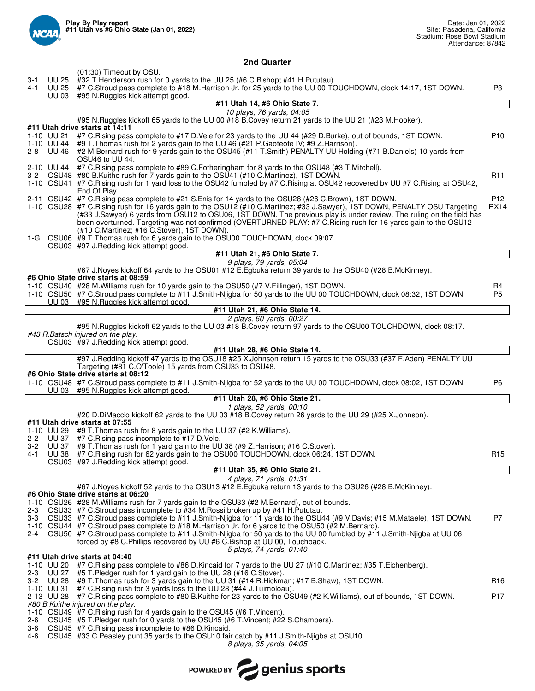

# **2nd Quarter**

| (01:30) Timeout by OSU.<br>#32 T. Henderson rush for 0 yards to the UU 25 (#6 C. Bishop; #41 H. Pututau).<br>UU 25<br>$3 - 1$<br>#7 C.Stroud pass complete to #18 M.Harrison Jr. for 25 yards to the UU 00 TOUCHDOWN, clock 14:17, 1ST DOWN.<br>4-1<br>UU 25<br>P3<br>#95 N.Ruggles kick attempt good.<br>UU 03<br>#11 Utah 14, #6 Ohio State 7.<br>10 plays, 76 yards, 04:05<br>#95 N. Ruggles kickoff 65 yards to the UU 00 #18 B. Covey return 21 yards to the UU 21 (#23 M. Hooker).<br>#11 Utah drive starts at 14:11<br>#7 C.Rising pass complete to #17 D.Vele for 23 yards to the UU 44 (#29 D.Burke), out of bounds, 1ST DOWN.<br>1-10 UU 21<br>#9 T.Thomas rush for 2 yards gain to the UU 46 (#21 P.Gaoteote IV; #9 Z.Harrison).<br>1-10 UU 44<br>2-8 UU 46 #2 M.Bernard rush for 9 yards gain to the OSU45 (#11 T.Smith) PENALTY UU Holding (#71 B.Daniels) 10 yards from<br>OSU46 to UU 44.<br>2-10 UU 44 #7 C. Rising pass complete to #89 C. Fotheringham for 8 yards to the OSU48 (#3 T. Mitchell).<br>3-2 OSU48 #80 B. Kuithe rush for 7 yards gain to the OSU41 (#10 C. Martinez), 1ST DOWN.<br>R <sub>11</sub><br>1-10 OSU41 #7 C. Rising rush for 1 yard loss to the OSU42 fumbled by #7 C. Rising at OSU42 recovered by UU #7 C. Rising at OSU42,<br>End Of Play.<br>2-11 OSU42 #7 C. Rising pass complete to #21 S. Enis for 14 yards to the OSU28 (#26 C. Brown), 1ST DOWN.<br>1-10 OSU28 #7 C.Rising rush for 16 yards gain to the OSU12 (#10 C.Martinez; #33 J.Sawyer), 1ST DOWN, PENALTY OSU Targeting<br><b>RX14</b><br>(#33 J.Sawyer) 6 yards from OSU12 to OSU06, 1ST DOWN. The previous play is under review. The ruling on the field has<br>been overturned. Targeting was not confirmed (OVERTURNED PLAY: #7 C. Rising rush for 16 yards gain to the OSU12<br>(#10 C.Martinez; #16 C.Stover), 1ST DOWN).<br>1-G OSU06 #9 T. Thomas rush for 6 yards gain to the OSU00 TOUCHDOWN, clock 09:07.<br>OSU03 #97 J.Redding kick attempt good.<br>#11 Utah 21, #6 Ohio State 7.<br>9 plays, 79 yards, 05:04<br>#67 J.Noyes kickoff 64 yards to the OSU01 #12 E.Egbuka return 39 yards to the OSU40 (#28 B.McKinney).<br>#6 Ohio State drive starts at 08:59<br>1-10 OSU40 #28 M. Williams rush for 10 yards gain to the OSU50 (#7 V. Fillinger), 1ST DOWN.<br>R4<br>1-10 OSU50 #7 C.Stroud pass complete to #11 J.Smith-Nijgba for 50 yards to the UU 00 TOUCHDOWN, clock 08:32, 1ST DOWN.<br>P5<br>UU 03 #95 N.Ruggles kick attempt good.<br>#11 Utah 21, #6 Ohio State 14.<br>2 plays, 60 yards, 00:27<br>#95 N.Ruggles kickoff 62 yards to the UU 03 #18 B.Covey return 97 yards to the OSU00 TOUCHDOWN, clock 08:17.<br>#43 R.Batsch injured on the play.<br>OSU03 #97 J.Redding kick attempt good.<br>#11 Utah 28, #6 Ohio State 14.<br>#97 J.Redding kickoff 47 yards to the OSU18 #25 X.Johnson return 15 yards to the OSU33 (#37 F.Aden) PENALTY UU<br>Targeting (#81 C.O'Toole) 15 yards from OSU33 to OSU48.<br>#6 Ohio State drive starts at 08:12<br>1-10 OSU48 #7 C.Stroud pass complete to #11 J.Smith-Njigba for 52 yards to the UU 00 TOUCHDOWN, clock 08:02, 1ST DOWN.<br>P6<br>UU 03 #95 N.Ruggles kick attempt good.<br>#11 Utah 28, #6 Ohio State 21.<br>1 plays, 52 yards, 00:10<br>#20 D.DiMaccio kickoff 62 yards to the UU 03 #18 B.Covey return 26 yards to the UU 29 (#25 X.Johnson).<br>#11 Utah drive starts at 07:55<br>1-10 UU 29 #9 T. Thomas rush for 8 yards gain to the UU 37 (#2 K. Williams).<br>2-2 UU 37 #7 C. Rising pass incomplete to #17 D. Vele.<br>3-2 UU 37<br>#9 T. Thomas rush for 1 yard gain to the UU 38 (#9 Z. Harrison; #16 C. Stover).<br>4-1 UU 38 #7 C. Rising rush for 62 yards gain to the OSU00 TOUCHDOWN, clock 06:24, 1ST DOWN.<br>OSU03 #97 J. Redding kick attempt good.<br>#11 Utah 35, #6 Ohio State 21.<br>4 plays, 71 yards, 01:31<br>#67 J.Noyes kickoff 52 yards to the OSU13 #12 E.Egbuka return 13 yards to the OSU26 (#28 B.McKinney).<br>#6 Ohio State drive starts at 06:20<br>1-10 OSU26 #28 M. Williams rush for 7 yards gain to the OSU33 (#2 M. Bernard), out of bounds.<br>OSU33 #7 C.Stroud pass incomplete to #34 M. Rossi broken up by #41 H. Pututau.<br>2-3<br>3-3 OSU33 #7 C.Stroud pass complete to #11 J.Smith-Nijgba for 11 yards to the OSU44 (#9 V.Davis; #15 M.Mataele), 1ST DOWN.<br>P7<br>1-10 OSU44 #7 C.Stroud pass complete to #18 M.Harrison Jr. for 6 yards to the OSU50 (#2 M.Bernard).<br>2-4 OSU50 #7 C.Stroud pass complete to #11 J.Smith-Nijgba for 50 yards to the UU 00 fumbled by #11 J.Smith-Nijgba at UU 06<br>forced by #8 C. Phillips recovered by UU #6 C. Bishop at UU 00, Touchback.<br>5 plays, 74 yards, 01:40<br>#11 Utah drive starts at 04:40<br>1-10 UU 20 #7 C. Rising pass complete to #86 D. Kincaid for 7 yards to the UU 27 (#10 C. Martinez; #35 T. Eichenberg).<br>#5 T. Pledger rush for 1 yard gain to the UU 28 (#16 C. Stover).<br>2-3<br>UU 27<br>#9 T.Thomas rush for 3 yards gain to the UU 31 (#14 R.Hickman; #17 B.Shaw), 1ST DOWN.<br>3-2 UU 28<br>#7 C. Rising rush for 3 yards loss to the UU 28 (#44 J. Tuimoloau).<br>1-10 UU 31<br>P <sub>17</sub><br>2-13 UU 28 #7 C. Rising pass complete to #80 B. Kuithe for 23 yards to the OSU49 (#2 K. Williams), out of bounds, 1ST DOWN.<br>#80 B. Kuithe injured on the play.<br>1-10 OSU49 #7 C. Rising rush for 4 yards gain to the OSU45 (#6 T. Vincent).<br>OSU45 #5 T.Pledger rush for 0 yards to the OSU45 (#6 T.Vincent; #22 S.Chambers).<br>2-6<br>3-6 OSU45 #7 C. Rising pass incomplete to #86 D. Kincaid.<br>OSU45 #33 C.Peasley punt 35 yards to the OSU10 fair catch by #11 J.Smith-Njigba at OSU10.<br>4-6<br>8 plays, 35 yards, 04:05 |                                 | P <sub>10</sub> |
|----------------------------------------------------------------------------------------------------------------------------------------------------------------------------------------------------------------------------------------------------------------------------------------------------------------------------------------------------------------------------------------------------------------------------------------------------------------------------------------------------------------------------------------------------------------------------------------------------------------------------------------------------------------------------------------------------------------------------------------------------------------------------------------------------------------------------------------------------------------------------------------------------------------------------------------------------------------------------------------------------------------------------------------------------------------------------------------------------------------------------------------------------------------------------------------------------------------------------------------------------------------------------------------------------------------------------------------------------------------------------------------------------------------------------------------------------------------------------------------------------------------------------------------------------------------------------------------------------------------------------------------------------------------------------------------------------------------------------------------------------------------------------------------------------------------------------------------------------------------------------------------------------------------------------------------------------------------------------------------------------------------------------------------------------------------------------------------------------------------------------------------------------------------------------------------------------------------------------------------------------------------------------------------------------------------------------------------------------------------------------------------------------------------------------------------------------------------------------------------------------------------------------------------------------------------------------------------------------------------------------------------------------------------------------------------------------------------------------------------------------------------------------------------------------------------------------------------------------------------------------------------------------------------------------------------------------------------------------------------------------------------------------------------------------------------------------------------------------------------------------------------------------------------------------------------------------------------------------------------------------------------------------------------------------------------------------------------------------------------------------------------------------------------------------------------------------------------------------------------------------------------------------------------------------------------------------------------------------------------------------------------------------------------------------------------------------------------------------------------------------------------------------------------------------------------------------------------------------------------------------------------------------------------------------------------------------------------------------------------------------------------------------------------------------------------------------------------------------------------------------------------------------------------------------------------------------------------------------------------------------------------------------------------------------------------------------------------------------------------------------------------------------------------------------------------------------------------------------------------------------------------------------------------------------------------------------------------------------------------------------------------------------------------------------------------------------------------------------------------------------------------------------------------------------------------------------------------------------------------------------------------------------------------------------------------------------------------------------------------------------------------------------------------------------------------------------------------------------------------------------------------------------------------------------------------------------------------------------------------------------------------------------------------------------------------------------------------------------------------------------------------------------------------------------------------------------------------------------------------------------------------------------------------------------------------------------------------------------------------------------------------------------------------------|---------------------------------|-----------------|
|                                                                                                                                                                                                                                                                                                                                                                                                                                                                                                                                                                                                                                                                                                                                                                                                                                                                                                                                                                                                                                                                                                                                                                                                                                                                                                                                                                                                                                                                                                                                                                                                                                                                                                                                                                                                                                                                                                                                                                                                                                                                                                                                                                                                                                                                                                                                                                                                                                                                                                                                                                                                                                                                                                                                                                                                                                                                                                                                                                                                                                                                                                                                                                                                                                                                                                                                                                                                                                                                                                                                                                                                                                                                                                                                                                                                                                                                                                                                                                                                                                                                                                                                                                                                                                                                                                                                                                                                                                                                                                                                                                                                                                                                                                                                                                                                                                                                                                                                                                                                                                                                                                                                                                                                                                                                                                                                                                                                                                                                                                                                                                                                                                                                      |                                 |                 |
|                                                                                                                                                                                                                                                                                                                                                                                                                                                                                                                                                                                                                                                                                                                                                                                                                                                                                                                                                                                                                                                                                                                                                                                                                                                                                                                                                                                                                                                                                                                                                                                                                                                                                                                                                                                                                                                                                                                                                                                                                                                                                                                                                                                                                                                                                                                                                                                                                                                                                                                                                                                                                                                                                                                                                                                                                                                                                                                                                                                                                                                                                                                                                                                                                                                                                                                                                                                                                                                                                                                                                                                                                                                                                                                                                                                                                                                                                                                                                                                                                                                                                                                                                                                                                                                                                                                                                                                                                                                                                                                                                                                                                                                                                                                                                                                                                                                                                                                                                                                                                                                                                                                                                                                                                                                                                                                                                                                                                                                                                                                                                                                                                                                                      |                                 |                 |
|                                                                                                                                                                                                                                                                                                                                                                                                                                                                                                                                                                                                                                                                                                                                                                                                                                                                                                                                                                                                                                                                                                                                                                                                                                                                                                                                                                                                                                                                                                                                                                                                                                                                                                                                                                                                                                                                                                                                                                                                                                                                                                                                                                                                                                                                                                                                                                                                                                                                                                                                                                                                                                                                                                                                                                                                                                                                                                                                                                                                                                                                                                                                                                                                                                                                                                                                                                                                                                                                                                                                                                                                                                                                                                                                                                                                                                                                                                                                                                                                                                                                                                                                                                                                                                                                                                                                                                                                                                                                                                                                                                                                                                                                                                                                                                                                                                                                                                                                                                                                                                                                                                                                                                                                                                                                                                                                                                                                                                                                                                                                                                                                                                                                      |                                 |                 |
|                                                                                                                                                                                                                                                                                                                                                                                                                                                                                                                                                                                                                                                                                                                                                                                                                                                                                                                                                                                                                                                                                                                                                                                                                                                                                                                                                                                                                                                                                                                                                                                                                                                                                                                                                                                                                                                                                                                                                                                                                                                                                                                                                                                                                                                                                                                                                                                                                                                                                                                                                                                                                                                                                                                                                                                                                                                                                                                                                                                                                                                                                                                                                                                                                                                                                                                                                                                                                                                                                                                                                                                                                                                                                                                                                                                                                                                                                                                                                                                                                                                                                                                                                                                                                                                                                                                                                                                                                                                                                                                                                                                                                                                                                                                                                                                                                                                                                                                                                                                                                                                                                                                                                                                                                                                                                                                                                                                                                                                                                                                                                                                                                                                                      |                                 |                 |
|                                                                                                                                                                                                                                                                                                                                                                                                                                                                                                                                                                                                                                                                                                                                                                                                                                                                                                                                                                                                                                                                                                                                                                                                                                                                                                                                                                                                                                                                                                                                                                                                                                                                                                                                                                                                                                                                                                                                                                                                                                                                                                                                                                                                                                                                                                                                                                                                                                                                                                                                                                                                                                                                                                                                                                                                                                                                                                                                                                                                                                                                                                                                                                                                                                                                                                                                                                                                                                                                                                                                                                                                                                                                                                                                                                                                                                                                                                                                                                                                                                                                                                                                                                                                                                                                                                                                                                                                                                                                                                                                                                                                                                                                                                                                                                                                                                                                                                                                                                                                                                                                                                                                                                                                                                                                                                                                                                                                                                                                                                                                                                                                                                                                      |                                 |                 |
|                                                                                                                                                                                                                                                                                                                                                                                                                                                                                                                                                                                                                                                                                                                                                                                                                                                                                                                                                                                                                                                                                                                                                                                                                                                                                                                                                                                                                                                                                                                                                                                                                                                                                                                                                                                                                                                                                                                                                                                                                                                                                                                                                                                                                                                                                                                                                                                                                                                                                                                                                                                                                                                                                                                                                                                                                                                                                                                                                                                                                                                                                                                                                                                                                                                                                                                                                                                                                                                                                                                                                                                                                                                                                                                                                                                                                                                                                                                                                                                                                                                                                                                                                                                                                                                                                                                                                                                                                                                                                                                                                                                                                                                                                                                                                                                                                                                                                                                                                                                                                                                                                                                                                                                                                                                                                                                                                                                                                                                                                                                                                                                                                                                                      |                                 |                 |
|                                                                                                                                                                                                                                                                                                                                                                                                                                                                                                                                                                                                                                                                                                                                                                                                                                                                                                                                                                                                                                                                                                                                                                                                                                                                                                                                                                                                                                                                                                                                                                                                                                                                                                                                                                                                                                                                                                                                                                                                                                                                                                                                                                                                                                                                                                                                                                                                                                                                                                                                                                                                                                                                                                                                                                                                                                                                                                                                                                                                                                                                                                                                                                                                                                                                                                                                                                                                                                                                                                                                                                                                                                                                                                                                                                                                                                                                                                                                                                                                                                                                                                                                                                                                                                                                                                                                                                                                                                                                                                                                                                                                                                                                                                                                                                                                                                                                                                                                                                                                                                                                                                                                                                                                                                                                                                                                                                                                                                                                                                                                                                                                                                                                      |                                 |                 |
|                                                                                                                                                                                                                                                                                                                                                                                                                                                                                                                                                                                                                                                                                                                                                                                                                                                                                                                                                                                                                                                                                                                                                                                                                                                                                                                                                                                                                                                                                                                                                                                                                                                                                                                                                                                                                                                                                                                                                                                                                                                                                                                                                                                                                                                                                                                                                                                                                                                                                                                                                                                                                                                                                                                                                                                                                                                                                                                                                                                                                                                                                                                                                                                                                                                                                                                                                                                                                                                                                                                                                                                                                                                                                                                                                                                                                                                                                                                                                                                                                                                                                                                                                                                                                                                                                                                                                                                                                                                                                                                                                                                                                                                                                                                                                                                                                                                                                                                                                                                                                                                                                                                                                                                                                                                                                                                                                                                                                                                                                                                                                                                                                                                                      |                                 |                 |
|                                                                                                                                                                                                                                                                                                                                                                                                                                                                                                                                                                                                                                                                                                                                                                                                                                                                                                                                                                                                                                                                                                                                                                                                                                                                                                                                                                                                                                                                                                                                                                                                                                                                                                                                                                                                                                                                                                                                                                                                                                                                                                                                                                                                                                                                                                                                                                                                                                                                                                                                                                                                                                                                                                                                                                                                                                                                                                                                                                                                                                                                                                                                                                                                                                                                                                                                                                                                                                                                                                                                                                                                                                                                                                                                                                                                                                                                                                                                                                                                                                                                                                                                                                                                                                                                                                                                                                                                                                                                                                                                                                                                                                                                                                                                                                                                                                                                                                                                                                                                                                                                                                                                                                                                                                                                                                                                                                                                                                                                                                                                                                                                                                                                      |                                 |                 |
|                                                                                                                                                                                                                                                                                                                                                                                                                                                                                                                                                                                                                                                                                                                                                                                                                                                                                                                                                                                                                                                                                                                                                                                                                                                                                                                                                                                                                                                                                                                                                                                                                                                                                                                                                                                                                                                                                                                                                                                                                                                                                                                                                                                                                                                                                                                                                                                                                                                                                                                                                                                                                                                                                                                                                                                                                                                                                                                                                                                                                                                                                                                                                                                                                                                                                                                                                                                                                                                                                                                                                                                                                                                                                                                                                                                                                                                                                                                                                                                                                                                                                                                                                                                                                                                                                                                                                                                                                                                                                                                                                                                                                                                                                                                                                                                                                                                                                                                                                                                                                                                                                                                                                                                                                                                                                                                                                                                                                                                                                                                                                                                                                                                                      |                                 |                 |
|                                                                                                                                                                                                                                                                                                                                                                                                                                                                                                                                                                                                                                                                                                                                                                                                                                                                                                                                                                                                                                                                                                                                                                                                                                                                                                                                                                                                                                                                                                                                                                                                                                                                                                                                                                                                                                                                                                                                                                                                                                                                                                                                                                                                                                                                                                                                                                                                                                                                                                                                                                                                                                                                                                                                                                                                                                                                                                                                                                                                                                                                                                                                                                                                                                                                                                                                                                                                                                                                                                                                                                                                                                                                                                                                                                                                                                                                                                                                                                                                                                                                                                                                                                                                                                                                                                                                                                                                                                                                                                                                                                                                                                                                                                                                                                                                                                                                                                                                                                                                                                                                                                                                                                                                                                                                                                                                                                                                                                                                                                                                                                                                                                                                      |                                 |                 |
|                                                                                                                                                                                                                                                                                                                                                                                                                                                                                                                                                                                                                                                                                                                                                                                                                                                                                                                                                                                                                                                                                                                                                                                                                                                                                                                                                                                                                                                                                                                                                                                                                                                                                                                                                                                                                                                                                                                                                                                                                                                                                                                                                                                                                                                                                                                                                                                                                                                                                                                                                                                                                                                                                                                                                                                                                                                                                                                                                                                                                                                                                                                                                                                                                                                                                                                                                                                                                                                                                                                                                                                                                                                                                                                                                                                                                                                                                                                                                                                                                                                                                                                                                                                                                                                                                                                                                                                                                                                                                                                                                                                                                                                                                                                                                                                                                                                                                                                                                                                                                                                                                                                                                                                                                                                                                                                                                                                                                                                                                                                                                                                                                                                                      |                                 | P <sub>12</sub> |
|                                                                                                                                                                                                                                                                                                                                                                                                                                                                                                                                                                                                                                                                                                                                                                                                                                                                                                                                                                                                                                                                                                                                                                                                                                                                                                                                                                                                                                                                                                                                                                                                                                                                                                                                                                                                                                                                                                                                                                                                                                                                                                                                                                                                                                                                                                                                                                                                                                                                                                                                                                                                                                                                                                                                                                                                                                                                                                                                                                                                                                                                                                                                                                                                                                                                                                                                                                                                                                                                                                                                                                                                                                                                                                                                                                                                                                                                                                                                                                                                                                                                                                                                                                                                                                                                                                                                                                                                                                                                                                                                                                                                                                                                                                                                                                                                                                                                                                                                                                                                                                                                                                                                                                                                                                                                                                                                                                                                                                                                                                                                                                                                                                                                      |                                 |                 |
|                                                                                                                                                                                                                                                                                                                                                                                                                                                                                                                                                                                                                                                                                                                                                                                                                                                                                                                                                                                                                                                                                                                                                                                                                                                                                                                                                                                                                                                                                                                                                                                                                                                                                                                                                                                                                                                                                                                                                                                                                                                                                                                                                                                                                                                                                                                                                                                                                                                                                                                                                                                                                                                                                                                                                                                                                                                                                                                                                                                                                                                                                                                                                                                                                                                                                                                                                                                                                                                                                                                                                                                                                                                                                                                                                                                                                                                                                                                                                                                                                                                                                                                                                                                                                                                                                                                                                                                                                                                                                                                                                                                                                                                                                                                                                                                                                                                                                                                                                                                                                                                                                                                                                                                                                                                                                                                                                                                                                                                                                                                                                                                                                                                                      |                                 |                 |
|                                                                                                                                                                                                                                                                                                                                                                                                                                                                                                                                                                                                                                                                                                                                                                                                                                                                                                                                                                                                                                                                                                                                                                                                                                                                                                                                                                                                                                                                                                                                                                                                                                                                                                                                                                                                                                                                                                                                                                                                                                                                                                                                                                                                                                                                                                                                                                                                                                                                                                                                                                                                                                                                                                                                                                                                                                                                                                                                                                                                                                                                                                                                                                                                                                                                                                                                                                                                                                                                                                                                                                                                                                                                                                                                                                                                                                                                                                                                                                                                                                                                                                                                                                                                                                                                                                                                                                                                                                                                                                                                                                                                                                                                                                                                                                                                                                                                                                                                                                                                                                                                                                                                                                                                                                                                                                                                                                                                                                                                                                                                                                                                                                                                      |                                 |                 |
|                                                                                                                                                                                                                                                                                                                                                                                                                                                                                                                                                                                                                                                                                                                                                                                                                                                                                                                                                                                                                                                                                                                                                                                                                                                                                                                                                                                                                                                                                                                                                                                                                                                                                                                                                                                                                                                                                                                                                                                                                                                                                                                                                                                                                                                                                                                                                                                                                                                                                                                                                                                                                                                                                                                                                                                                                                                                                                                                                                                                                                                                                                                                                                                                                                                                                                                                                                                                                                                                                                                                                                                                                                                                                                                                                                                                                                                                                                                                                                                                                                                                                                                                                                                                                                                                                                                                                                                                                                                                                                                                                                                                                                                                                                                                                                                                                                                                                                                                                                                                                                                                                                                                                                                                                                                                                                                                                                                                                                                                                                                                                                                                                                                                      |                                 |                 |
|                                                                                                                                                                                                                                                                                                                                                                                                                                                                                                                                                                                                                                                                                                                                                                                                                                                                                                                                                                                                                                                                                                                                                                                                                                                                                                                                                                                                                                                                                                                                                                                                                                                                                                                                                                                                                                                                                                                                                                                                                                                                                                                                                                                                                                                                                                                                                                                                                                                                                                                                                                                                                                                                                                                                                                                                                                                                                                                                                                                                                                                                                                                                                                                                                                                                                                                                                                                                                                                                                                                                                                                                                                                                                                                                                                                                                                                                                                                                                                                                                                                                                                                                                                                                                                                                                                                                                                                                                                                                                                                                                                                                                                                                                                                                                                                                                                                                                                                                                                                                                                                                                                                                                                                                                                                                                                                                                                                                                                                                                                                                                                                                                                                                      |                                 |                 |
|                                                                                                                                                                                                                                                                                                                                                                                                                                                                                                                                                                                                                                                                                                                                                                                                                                                                                                                                                                                                                                                                                                                                                                                                                                                                                                                                                                                                                                                                                                                                                                                                                                                                                                                                                                                                                                                                                                                                                                                                                                                                                                                                                                                                                                                                                                                                                                                                                                                                                                                                                                                                                                                                                                                                                                                                                                                                                                                                                                                                                                                                                                                                                                                                                                                                                                                                                                                                                                                                                                                                                                                                                                                                                                                                                                                                                                                                                                                                                                                                                                                                                                                                                                                                                                                                                                                                                                                                                                                                                                                                                                                                                                                                                                                                                                                                                                                                                                                                                                                                                                                                                                                                                                                                                                                                                                                                                                                                                                                                                                                                                                                                                                                                      |                                 |                 |
|                                                                                                                                                                                                                                                                                                                                                                                                                                                                                                                                                                                                                                                                                                                                                                                                                                                                                                                                                                                                                                                                                                                                                                                                                                                                                                                                                                                                                                                                                                                                                                                                                                                                                                                                                                                                                                                                                                                                                                                                                                                                                                                                                                                                                                                                                                                                                                                                                                                                                                                                                                                                                                                                                                                                                                                                                                                                                                                                                                                                                                                                                                                                                                                                                                                                                                                                                                                                                                                                                                                                                                                                                                                                                                                                                                                                                                                                                                                                                                                                                                                                                                                                                                                                                                                                                                                                                                                                                                                                                                                                                                                                                                                                                                                                                                                                                                                                                                                                                                                                                                                                                                                                                                                                                                                                                                                                                                                                                                                                                                                                                                                                                                                                      |                                 |                 |
|                                                                                                                                                                                                                                                                                                                                                                                                                                                                                                                                                                                                                                                                                                                                                                                                                                                                                                                                                                                                                                                                                                                                                                                                                                                                                                                                                                                                                                                                                                                                                                                                                                                                                                                                                                                                                                                                                                                                                                                                                                                                                                                                                                                                                                                                                                                                                                                                                                                                                                                                                                                                                                                                                                                                                                                                                                                                                                                                                                                                                                                                                                                                                                                                                                                                                                                                                                                                                                                                                                                                                                                                                                                                                                                                                                                                                                                                                                                                                                                                                                                                                                                                                                                                                                                                                                                                                                                                                                                                                                                                                                                                                                                                                                                                                                                                                                                                                                                                                                                                                                                                                                                                                                                                                                                                                                                                                                                                                                                                                                                                                                                                                                                                      |                                 |                 |
|                                                                                                                                                                                                                                                                                                                                                                                                                                                                                                                                                                                                                                                                                                                                                                                                                                                                                                                                                                                                                                                                                                                                                                                                                                                                                                                                                                                                                                                                                                                                                                                                                                                                                                                                                                                                                                                                                                                                                                                                                                                                                                                                                                                                                                                                                                                                                                                                                                                                                                                                                                                                                                                                                                                                                                                                                                                                                                                                                                                                                                                                                                                                                                                                                                                                                                                                                                                                                                                                                                                                                                                                                                                                                                                                                                                                                                                                                                                                                                                                                                                                                                                                                                                                                                                                                                                                                                                                                                                                                                                                                                                                                                                                                                                                                                                                                                                                                                                                                                                                                                                                                                                                                                                                                                                                                                                                                                                                                                                                                                                                                                                                                                                                      |                                 |                 |
|                                                                                                                                                                                                                                                                                                                                                                                                                                                                                                                                                                                                                                                                                                                                                                                                                                                                                                                                                                                                                                                                                                                                                                                                                                                                                                                                                                                                                                                                                                                                                                                                                                                                                                                                                                                                                                                                                                                                                                                                                                                                                                                                                                                                                                                                                                                                                                                                                                                                                                                                                                                                                                                                                                                                                                                                                                                                                                                                                                                                                                                                                                                                                                                                                                                                                                                                                                                                                                                                                                                                                                                                                                                                                                                                                                                                                                                                                                                                                                                                                                                                                                                                                                                                                                                                                                                                                                                                                                                                                                                                                                                                                                                                                                                                                                                                                                                                                                                                                                                                                                                                                                                                                                                                                                                                                                                                                                                                                                                                                                                                                                                                                                                                      |                                 |                 |
|                                                                                                                                                                                                                                                                                                                                                                                                                                                                                                                                                                                                                                                                                                                                                                                                                                                                                                                                                                                                                                                                                                                                                                                                                                                                                                                                                                                                                                                                                                                                                                                                                                                                                                                                                                                                                                                                                                                                                                                                                                                                                                                                                                                                                                                                                                                                                                                                                                                                                                                                                                                                                                                                                                                                                                                                                                                                                                                                                                                                                                                                                                                                                                                                                                                                                                                                                                                                                                                                                                                                                                                                                                                                                                                                                                                                                                                                                                                                                                                                                                                                                                                                                                                                                                                                                                                                                                                                                                                                                                                                                                                                                                                                                                                                                                                                                                                                                                                                                                                                                                                                                                                                                                                                                                                                                                                                                                                                                                                                                                                                                                                                                                                                      |                                 |                 |
|                                                                                                                                                                                                                                                                                                                                                                                                                                                                                                                                                                                                                                                                                                                                                                                                                                                                                                                                                                                                                                                                                                                                                                                                                                                                                                                                                                                                                                                                                                                                                                                                                                                                                                                                                                                                                                                                                                                                                                                                                                                                                                                                                                                                                                                                                                                                                                                                                                                                                                                                                                                                                                                                                                                                                                                                                                                                                                                                                                                                                                                                                                                                                                                                                                                                                                                                                                                                                                                                                                                                                                                                                                                                                                                                                                                                                                                                                                                                                                                                                                                                                                                                                                                                                                                                                                                                                                                                                                                                                                                                                                                                                                                                                                                                                                                                                                                                                                                                                                                                                                                                                                                                                                                                                                                                                                                                                                                                                                                                                                                                                                                                                                                                      |                                 |                 |
|                                                                                                                                                                                                                                                                                                                                                                                                                                                                                                                                                                                                                                                                                                                                                                                                                                                                                                                                                                                                                                                                                                                                                                                                                                                                                                                                                                                                                                                                                                                                                                                                                                                                                                                                                                                                                                                                                                                                                                                                                                                                                                                                                                                                                                                                                                                                                                                                                                                                                                                                                                                                                                                                                                                                                                                                                                                                                                                                                                                                                                                                                                                                                                                                                                                                                                                                                                                                                                                                                                                                                                                                                                                                                                                                                                                                                                                                                                                                                                                                                                                                                                                                                                                                                                                                                                                                                                                                                                                                                                                                                                                                                                                                                                                                                                                                                                                                                                                                                                                                                                                                                                                                                                                                                                                                                                                                                                                                                                                                                                                                                                                                                                                                      |                                 |                 |
|                                                                                                                                                                                                                                                                                                                                                                                                                                                                                                                                                                                                                                                                                                                                                                                                                                                                                                                                                                                                                                                                                                                                                                                                                                                                                                                                                                                                                                                                                                                                                                                                                                                                                                                                                                                                                                                                                                                                                                                                                                                                                                                                                                                                                                                                                                                                                                                                                                                                                                                                                                                                                                                                                                                                                                                                                                                                                                                                                                                                                                                                                                                                                                                                                                                                                                                                                                                                                                                                                                                                                                                                                                                                                                                                                                                                                                                                                                                                                                                                                                                                                                                                                                                                                                                                                                                                                                                                                                                                                                                                                                                                                                                                                                                                                                                                                                                                                                                                                                                                                                                                                                                                                                                                                                                                                                                                                                                                                                                                                                                                                                                                                                                                      |                                 |                 |
|                                                                                                                                                                                                                                                                                                                                                                                                                                                                                                                                                                                                                                                                                                                                                                                                                                                                                                                                                                                                                                                                                                                                                                                                                                                                                                                                                                                                                                                                                                                                                                                                                                                                                                                                                                                                                                                                                                                                                                                                                                                                                                                                                                                                                                                                                                                                                                                                                                                                                                                                                                                                                                                                                                                                                                                                                                                                                                                                                                                                                                                                                                                                                                                                                                                                                                                                                                                                                                                                                                                                                                                                                                                                                                                                                                                                                                                                                                                                                                                                                                                                                                                                                                                                                                                                                                                                                                                                                                                                                                                                                                                                                                                                                                                                                                                                                                                                                                                                                                                                                                                                                                                                                                                                                                                                                                                                                                                                                                                                                                                                                                                                                                                                      |                                 |                 |
|                                                                                                                                                                                                                                                                                                                                                                                                                                                                                                                                                                                                                                                                                                                                                                                                                                                                                                                                                                                                                                                                                                                                                                                                                                                                                                                                                                                                                                                                                                                                                                                                                                                                                                                                                                                                                                                                                                                                                                                                                                                                                                                                                                                                                                                                                                                                                                                                                                                                                                                                                                                                                                                                                                                                                                                                                                                                                                                                                                                                                                                                                                                                                                                                                                                                                                                                                                                                                                                                                                                                                                                                                                                                                                                                                                                                                                                                                                                                                                                                                                                                                                                                                                                                                                                                                                                                                                                                                                                                                                                                                                                                                                                                                                                                                                                                                                                                                                                                                                                                                                                                                                                                                                                                                                                                                                                                                                                                                                                                                                                                                                                                                                                                      |                                 |                 |
|                                                                                                                                                                                                                                                                                                                                                                                                                                                                                                                                                                                                                                                                                                                                                                                                                                                                                                                                                                                                                                                                                                                                                                                                                                                                                                                                                                                                                                                                                                                                                                                                                                                                                                                                                                                                                                                                                                                                                                                                                                                                                                                                                                                                                                                                                                                                                                                                                                                                                                                                                                                                                                                                                                                                                                                                                                                                                                                                                                                                                                                                                                                                                                                                                                                                                                                                                                                                                                                                                                                                                                                                                                                                                                                                                                                                                                                                                                                                                                                                                                                                                                                                                                                                                                                                                                                                                                                                                                                                                                                                                                                                                                                                                                                                                                                                                                                                                                                                                                                                                                                                                                                                                                                                                                                                                                                                                                                                                                                                                                                                                                                                                                                                      |                                 |                 |
|                                                                                                                                                                                                                                                                                                                                                                                                                                                                                                                                                                                                                                                                                                                                                                                                                                                                                                                                                                                                                                                                                                                                                                                                                                                                                                                                                                                                                                                                                                                                                                                                                                                                                                                                                                                                                                                                                                                                                                                                                                                                                                                                                                                                                                                                                                                                                                                                                                                                                                                                                                                                                                                                                                                                                                                                                                                                                                                                                                                                                                                                                                                                                                                                                                                                                                                                                                                                                                                                                                                                                                                                                                                                                                                                                                                                                                                                                                                                                                                                                                                                                                                                                                                                                                                                                                                                                                                                                                                                                                                                                                                                                                                                                                                                                                                                                                                                                                                                                                                                                                                                                                                                                                                                                                                                                                                                                                                                                                                                                                                                                                                                                                                                      |                                 |                 |
|                                                                                                                                                                                                                                                                                                                                                                                                                                                                                                                                                                                                                                                                                                                                                                                                                                                                                                                                                                                                                                                                                                                                                                                                                                                                                                                                                                                                                                                                                                                                                                                                                                                                                                                                                                                                                                                                                                                                                                                                                                                                                                                                                                                                                                                                                                                                                                                                                                                                                                                                                                                                                                                                                                                                                                                                                                                                                                                                                                                                                                                                                                                                                                                                                                                                                                                                                                                                                                                                                                                                                                                                                                                                                                                                                                                                                                                                                                                                                                                                                                                                                                                                                                                                                                                                                                                                                                                                                                                                                                                                                                                                                                                                                                                                                                                                                                                                                                                                                                                                                                                                                                                                                                                                                                                                                                                                                                                                                                                                                                                                                                                                                                                                      |                                 |                 |
|                                                                                                                                                                                                                                                                                                                                                                                                                                                                                                                                                                                                                                                                                                                                                                                                                                                                                                                                                                                                                                                                                                                                                                                                                                                                                                                                                                                                                                                                                                                                                                                                                                                                                                                                                                                                                                                                                                                                                                                                                                                                                                                                                                                                                                                                                                                                                                                                                                                                                                                                                                                                                                                                                                                                                                                                                                                                                                                                                                                                                                                                                                                                                                                                                                                                                                                                                                                                                                                                                                                                                                                                                                                                                                                                                                                                                                                                                                                                                                                                                                                                                                                                                                                                                                                                                                                                                                                                                                                                                                                                                                                                                                                                                                                                                                                                                                                                                                                                                                                                                                                                                                                                                                                                                                                                                                                                                                                                                                                                                                                                                                                                                                                                      |                                 |                 |
|                                                                                                                                                                                                                                                                                                                                                                                                                                                                                                                                                                                                                                                                                                                                                                                                                                                                                                                                                                                                                                                                                                                                                                                                                                                                                                                                                                                                                                                                                                                                                                                                                                                                                                                                                                                                                                                                                                                                                                                                                                                                                                                                                                                                                                                                                                                                                                                                                                                                                                                                                                                                                                                                                                                                                                                                                                                                                                                                                                                                                                                                                                                                                                                                                                                                                                                                                                                                                                                                                                                                                                                                                                                                                                                                                                                                                                                                                                                                                                                                                                                                                                                                                                                                                                                                                                                                                                                                                                                                                                                                                                                                                                                                                                                                                                                                                                                                                                                                                                                                                                                                                                                                                                                                                                                                                                                                                                                                                                                                                                                                                                                                                                                                      |                                 |                 |
|                                                                                                                                                                                                                                                                                                                                                                                                                                                                                                                                                                                                                                                                                                                                                                                                                                                                                                                                                                                                                                                                                                                                                                                                                                                                                                                                                                                                                                                                                                                                                                                                                                                                                                                                                                                                                                                                                                                                                                                                                                                                                                                                                                                                                                                                                                                                                                                                                                                                                                                                                                                                                                                                                                                                                                                                                                                                                                                                                                                                                                                                                                                                                                                                                                                                                                                                                                                                                                                                                                                                                                                                                                                                                                                                                                                                                                                                                                                                                                                                                                                                                                                                                                                                                                                                                                                                                                                                                                                                                                                                                                                                                                                                                                                                                                                                                                                                                                                                                                                                                                                                                                                                                                                                                                                                                                                                                                                                                                                                                                                                                                                                                                                                      |                                 |                 |
|                                                                                                                                                                                                                                                                                                                                                                                                                                                                                                                                                                                                                                                                                                                                                                                                                                                                                                                                                                                                                                                                                                                                                                                                                                                                                                                                                                                                                                                                                                                                                                                                                                                                                                                                                                                                                                                                                                                                                                                                                                                                                                                                                                                                                                                                                                                                                                                                                                                                                                                                                                                                                                                                                                                                                                                                                                                                                                                                                                                                                                                                                                                                                                                                                                                                                                                                                                                                                                                                                                                                                                                                                                                                                                                                                                                                                                                                                                                                                                                                                                                                                                                                                                                                                                                                                                                                                                                                                                                                                                                                                                                                                                                                                                                                                                                                                                                                                                                                                                                                                                                                                                                                                                                                                                                                                                                                                                                                                                                                                                                                                                                                                                                                      |                                 |                 |
|                                                                                                                                                                                                                                                                                                                                                                                                                                                                                                                                                                                                                                                                                                                                                                                                                                                                                                                                                                                                                                                                                                                                                                                                                                                                                                                                                                                                                                                                                                                                                                                                                                                                                                                                                                                                                                                                                                                                                                                                                                                                                                                                                                                                                                                                                                                                                                                                                                                                                                                                                                                                                                                                                                                                                                                                                                                                                                                                                                                                                                                                                                                                                                                                                                                                                                                                                                                                                                                                                                                                                                                                                                                                                                                                                                                                                                                                                                                                                                                                                                                                                                                                                                                                                                                                                                                                                                                                                                                                                                                                                                                                                                                                                                                                                                                                                                                                                                                                                                                                                                                                                                                                                                                                                                                                                                                                                                                                                                                                                                                                                                                                                                                                      |                                 |                 |
|                                                                                                                                                                                                                                                                                                                                                                                                                                                                                                                                                                                                                                                                                                                                                                                                                                                                                                                                                                                                                                                                                                                                                                                                                                                                                                                                                                                                                                                                                                                                                                                                                                                                                                                                                                                                                                                                                                                                                                                                                                                                                                                                                                                                                                                                                                                                                                                                                                                                                                                                                                                                                                                                                                                                                                                                                                                                                                                                                                                                                                                                                                                                                                                                                                                                                                                                                                                                                                                                                                                                                                                                                                                                                                                                                                                                                                                                                                                                                                                                                                                                                                                                                                                                                                                                                                                                                                                                                                                                                                                                                                                                                                                                                                                                                                                                                                                                                                                                                                                                                                                                                                                                                                                                                                                                                                                                                                                                                                                                                                                                                                                                                                                                      |                                 | R15             |
|                                                                                                                                                                                                                                                                                                                                                                                                                                                                                                                                                                                                                                                                                                                                                                                                                                                                                                                                                                                                                                                                                                                                                                                                                                                                                                                                                                                                                                                                                                                                                                                                                                                                                                                                                                                                                                                                                                                                                                                                                                                                                                                                                                                                                                                                                                                                                                                                                                                                                                                                                                                                                                                                                                                                                                                                                                                                                                                                                                                                                                                                                                                                                                                                                                                                                                                                                                                                                                                                                                                                                                                                                                                                                                                                                                                                                                                                                                                                                                                                                                                                                                                                                                                                                                                                                                                                                                                                                                                                                                                                                                                                                                                                                                                                                                                                                                                                                                                                                                                                                                                                                                                                                                                                                                                                                                                                                                                                                                                                                                                                                                                                                                                                      |                                 |                 |
|                                                                                                                                                                                                                                                                                                                                                                                                                                                                                                                                                                                                                                                                                                                                                                                                                                                                                                                                                                                                                                                                                                                                                                                                                                                                                                                                                                                                                                                                                                                                                                                                                                                                                                                                                                                                                                                                                                                                                                                                                                                                                                                                                                                                                                                                                                                                                                                                                                                                                                                                                                                                                                                                                                                                                                                                                                                                                                                                                                                                                                                                                                                                                                                                                                                                                                                                                                                                                                                                                                                                                                                                                                                                                                                                                                                                                                                                                                                                                                                                                                                                                                                                                                                                                                                                                                                                                                                                                                                                                                                                                                                                                                                                                                                                                                                                                                                                                                                                                                                                                                                                                                                                                                                                                                                                                                                                                                                                                                                                                                                                                                                                                                                                      |                                 |                 |
|                                                                                                                                                                                                                                                                                                                                                                                                                                                                                                                                                                                                                                                                                                                                                                                                                                                                                                                                                                                                                                                                                                                                                                                                                                                                                                                                                                                                                                                                                                                                                                                                                                                                                                                                                                                                                                                                                                                                                                                                                                                                                                                                                                                                                                                                                                                                                                                                                                                                                                                                                                                                                                                                                                                                                                                                                                                                                                                                                                                                                                                                                                                                                                                                                                                                                                                                                                                                                                                                                                                                                                                                                                                                                                                                                                                                                                                                                                                                                                                                                                                                                                                                                                                                                                                                                                                                                                                                                                                                                                                                                                                                                                                                                                                                                                                                                                                                                                                                                                                                                                                                                                                                                                                                                                                                                                                                                                                                                                                                                                                                                                                                                                                                      |                                 |                 |
|                                                                                                                                                                                                                                                                                                                                                                                                                                                                                                                                                                                                                                                                                                                                                                                                                                                                                                                                                                                                                                                                                                                                                                                                                                                                                                                                                                                                                                                                                                                                                                                                                                                                                                                                                                                                                                                                                                                                                                                                                                                                                                                                                                                                                                                                                                                                                                                                                                                                                                                                                                                                                                                                                                                                                                                                                                                                                                                                                                                                                                                                                                                                                                                                                                                                                                                                                                                                                                                                                                                                                                                                                                                                                                                                                                                                                                                                                                                                                                                                                                                                                                                                                                                                                                                                                                                                                                                                                                                                                                                                                                                                                                                                                                                                                                                                                                                                                                                                                                                                                                                                                                                                                                                                                                                                                                                                                                                                                                                                                                                                                                                                                                                                      |                                 |                 |
|                                                                                                                                                                                                                                                                                                                                                                                                                                                                                                                                                                                                                                                                                                                                                                                                                                                                                                                                                                                                                                                                                                                                                                                                                                                                                                                                                                                                                                                                                                                                                                                                                                                                                                                                                                                                                                                                                                                                                                                                                                                                                                                                                                                                                                                                                                                                                                                                                                                                                                                                                                                                                                                                                                                                                                                                                                                                                                                                                                                                                                                                                                                                                                                                                                                                                                                                                                                                                                                                                                                                                                                                                                                                                                                                                                                                                                                                                                                                                                                                                                                                                                                                                                                                                                                                                                                                                                                                                                                                                                                                                                                                                                                                                                                                                                                                                                                                                                                                                                                                                                                                                                                                                                                                                                                                                                                                                                                                                                                                                                                                                                                                                                                                      |                                 |                 |
|                                                                                                                                                                                                                                                                                                                                                                                                                                                                                                                                                                                                                                                                                                                                                                                                                                                                                                                                                                                                                                                                                                                                                                                                                                                                                                                                                                                                                                                                                                                                                                                                                                                                                                                                                                                                                                                                                                                                                                                                                                                                                                                                                                                                                                                                                                                                                                                                                                                                                                                                                                                                                                                                                                                                                                                                                                                                                                                                                                                                                                                                                                                                                                                                                                                                                                                                                                                                                                                                                                                                                                                                                                                                                                                                                                                                                                                                                                                                                                                                                                                                                                                                                                                                                                                                                                                                                                                                                                                                                                                                                                                                                                                                                                                                                                                                                                                                                                                                                                                                                                                                                                                                                                                                                                                                                                                                                                                                                                                                                                                                                                                                                                                                      |                                 |                 |
|                                                                                                                                                                                                                                                                                                                                                                                                                                                                                                                                                                                                                                                                                                                                                                                                                                                                                                                                                                                                                                                                                                                                                                                                                                                                                                                                                                                                                                                                                                                                                                                                                                                                                                                                                                                                                                                                                                                                                                                                                                                                                                                                                                                                                                                                                                                                                                                                                                                                                                                                                                                                                                                                                                                                                                                                                                                                                                                                                                                                                                                                                                                                                                                                                                                                                                                                                                                                                                                                                                                                                                                                                                                                                                                                                                                                                                                                                                                                                                                                                                                                                                                                                                                                                                                                                                                                                                                                                                                                                                                                                                                                                                                                                                                                                                                                                                                                                                                                                                                                                                                                                                                                                                                                                                                                                                                                                                                                                                                                                                                                                                                                                                                                      |                                 |                 |
|                                                                                                                                                                                                                                                                                                                                                                                                                                                                                                                                                                                                                                                                                                                                                                                                                                                                                                                                                                                                                                                                                                                                                                                                                                                                                                                                                                                                                                                                                                                                                                                                                                                                                                                                                                                                                                                                                                                                                                                                                                                                                                                                                                                                                                                                                                                                                                                                                                                                                                                                                                                                                                                                                                                                                                                                                                                                                                                                                                                                                                                                                                                                                                                                                                                                                                                                                                                                                                                                                                                                                                                                                                                                                                                                                                                                                                                                                                                                                                                                                                                                                                                                                                                                                                                                                                                                                                                                                                                                                                                                                                                                                                                                                                                                                                                                                                                                                                                                                                                                                                                                                                                                                                                                                                                                                                                                                                                                                                                                                                                                                                                                                                                                      |                                 |                 |
|                                                                                                                                                                                                                                                                                                                                                                                                                                                                                                                                                                                                                                                                                                                                                                                                                                                                                                                                                                                                                                                                                                                                                                                                                                                                                                                                                                                                                                                                                                                                                                                                                                                                                                                                                                                                                                                                                                                                                                                                                                                                                                                                                                                                                                                                                                                                                                                                                                                                                                                                                                                                                                                                                                                                                                                                                                                                                                                                                                                                                                                                                                                                                                                                                                                                                                                                                                                                                                                                                                                                                                                                                                                                                                                                                                                                                                                                                                                                                                                                                                                                                                                                                                                                                                                                                                                                                                                                                                                                                                                                                                                                                                                                                                                                                                                                                                                                                                                                                                                                                                                                                                                                                                                                                                                                                                                                                                                                                                                                                                                                                                                                                                                                      |                                 |                 |
|                                                                                                                                                                                                                                                                                                                                                                                                                                                                                                                                                                                                                                                                                                                                                                                                                                                                                                                                                                                                                                                                                                                                                                                                                                                                                                                                                                                                                                                                                                                                                                                                                                                                                                                                                                                                                                                                                                                                                                                                                                                                                                                                                                                                                                                                                                                                                                                                                                                                                                                                                                                                                                                                                                                                                                                                                                                                                                                                                                                                                                                                                                                                                                                                                                                                                                                                                                                                                                                                                                                                                                                                                                                                                                                                                                                                                                                                                                                                                                                                                                                                                                                                                                                                                                                                                                                                                                                                                                                                                                                                                                                                                                                                                                                                                                                                                                                                                                                                                                                                                                                                                                                                                                                                                                                                                                                                                                                                                                                                                                                                                                                                                                                                      |                                 |                 |
|                                                                                                                                                                                                                                                                                                                                                                                                                                                                                                                                                                                                                                                                                                                                                                                                                                                                                                                                                                                                                                                                                                                                                                                                                                                                                                                                                                                                                                                                                                                                                                                                                                                                                                                                                                                                                                                                                                                                                                                                                                                                                                                                                                                                                                                                                                                                                                                                                                                                                                                                                                                                                                                                                                                                                                                                                                                                                                                                                                                                                                                                                                                                                                                                                                                                                                                                                                                                                                                                                                                                                                                                                                                                                                                                                                                                                                                                                                                                                                                                                                                                                                                                                                                                                                                                                                                                                                                                                                                                                                                                                                                                                                                                                                                                                                                                                                                                                                                                                                                                                                                                                                                                                                                                                                                                                                                                                                                                                                                                                                                                                                                                                                                                      |                                 |                 |
|                                                                                                                                                                                                                                                                                                                                                                                                                                                                                                                                                                                                                                                                                                                                                                                                                                                                                                                                                                                                                                                                                                                                                                                                                                                                                                                                                                                                                                                                                                                                                                                                                                                                                                                                                                                                                                                                                                                                                                                                                                                                                                                                                                                                                                                                                                                                                                                                                                                                                                                                                                                                                                                                                                                                                                                                                                                                                                                                                                                                                                                                                                                                                                                                                                                                                                                                                                                                                                                                                                                                                                                                                                                                                                                                                                                                                                                                                                                                                                                                                                                                                                                                                                                                                                                                                                                                                                                                                                                                                                                                                                                                                                                                                                                                                                                                                                                                                                                                                                                                                                                                                                                                                                                                                                                                                                                                                                                                                                                                                                                                                                                                                                                                      |                                 |                 |
|                                                                                                                                                                                                                                                                                                                                                                                                                                                                                                                                                                                                                                                                                                                                                                                                                                                                                                                                                                                                                                                                                                                                                                                                                                                                                                                                                                                                                                                                                                                                                                                                                                                                                                                                                                                                                                                                                                                                                                                                                                                                                                                                                                                                                                                                                                                                                                                                                                                                                                                                                                                                                                                                                                                                                                                                                                                                                                                                                                                                                                                                                                                                                                                                                                                                                                                                                                                                                                                                                                                                                                                                                                                                                                                                                                                                                                                                                                                                                                                                                                                                                                                                                                                                                                                                                                                                                                                                                                                                                                                                                                                                                                                                                                                                                                                                                                                                                                                                                                                                                                                                                                                                                                                                                                                                                                                                                                                                                                                                                                                                                                                                                                                                      |                                 | R <sub>16</sub> |
|                                                                                                                                                                                                                                                                                                                                                                                                                                                                                                                                                                                                                                                                                                                                                                                                                                                                                                                                                                                                                                                                                                                                                                                                                                                                                                                                                                                                                                                                                                                                                                                                                                                                                                                                                                                                                                                                                                                                                                                                                                                                                                                                                                                                                                                                                                                                                                                                                                                                                                                                                                                                                                                                                                                                                                                                                                                                                                                                                                                                                                                                                                                                                                                                                                                                                                                                                                                                                                                                                                                                                                                                                                                                                                                                                                                                                                                                                                                                                                                                                                                                                                                                                                                                                                                                                                                                                                                                                                                                                                                                                                                                                                                                                                                                                                                                                                                                                                                                                                                                                                                                                                                                                                                                                                                                                                                                                                                                                                                                                                                                                                                                                                                                      |                                 |                 |
|                                                                                                                                                                                                                                                                                                                                                                                                                                                                                                                                                                                                                                                                                                                                                                                                                                                                                                                                                                                                                                                                                                                                                                                                                                                                                                                                                                                                                                                                                                                                                                                                                                                                                                                                                                                                                                                                                                                                                                                                                                                                                                                                                                                                                                                                                                                                                                                                                                                                                                                                                                                                                                                                                                                                                                                                                                                                                                                                                                                                                                                                                                                                                                                                                                                                                                                                                                                                                                                                                                                                                                                                                                                                                                                                                                                                                                                                                                                                                                                                                                                                                                                                                                                                                                                                                                                                                                                                                                                                                                                                                                                                                                                                                                                                                                                                                                                                                                                                                                                                                                                                                                                                                                                                                                                                                                                                                                                                                                                                                                                                                                                                                                                                      |                                 |                 |
|                                                                                                                                                                                                                                                                                                                                                                                                                                                                                                                                                                                                                                                                                                                                                                                                                                                                                                                                                                                                                                                                                                                                                                                                                                                                                                                                                                                                                                                                                                                                                                                                                                                                                                                                                                                                                                                                                                                                                                                                                                                                                                                                                                                                                                                                                                                                                                                                                                                                                                                                                                                                                                                                                                                                                                                                                                                                                                                                                                                                                                                                                                                                                                                                                                                                                                                                                                                                                                                                                                                                                                                                                                                                                                                                                                                                                                                                                                                                                                                                                                                                                                                                                                                                                                                                                                                                                                                                                                                                                                                                                                                                                                                                                                                                                                                                                                                                                                                                                                                                                                                                                                                                                                                                                                                                                                                                                                                                                                                                                                                                                                                                                                                                      |                                 |                 |
|                                                                                                                                                                                                                                                                                                                                                                                                                                                                                                                                                                                                                                                                                                                                                                                                                                                                                                                                                                                                                                                                                                                                                                                                                                                                                                                                                                                                                                                                                                                                                                                                                                                                                                                                                                                                                                                                                                                                                                                                                                                                                                                                                                                                                                                                                                                                                                                                                                                                                                                                                                                                                                                                                                                                                                                                                                                                                                                                                                                                                                                                                                                                                                                                                                                                                                                                                                                                                                                                                                                                                                                                                                                                                                                                                                                                                                                                                                                                                                                                                                                                                                                                                                                                                                                                                                                                                                                                                                                                                                                                                                                                                                                                                                                                                                                                                                                                                                                                                                                                                                                                                                                                                                                                                                                                                                                                                                                                                                                                                                                                                                                                                                                                      |                                 |                 |
|                                                                                                                                                                                                                                                                                                                                                                                                                                                                                                                                                                                                                                                                                                                                                                                                                                                                                                                                                                                                                                                                                                                                                                                                                                                                                                                                                                                                                                                                                                                                                                                                                                                                                                                                                                                                                                                                                                                                                                                                                                                                                                                                                                                                                                                                                                                                                                                                                                                                                                                                                                                                                                                                                                                                                                                                                                                                                                                                                                                                                                                                                                                                                                                                                                                                                                                                                                                                                                                                                                                                                                                                                                                                                                                                                                                                                                                                                                                                                                                                                                                                                                                                                                                                                                                                                                                                                                                                                                                                                                                                                                                                                                                                                                                                                                                                                                                                                                                                                                                                                                                                                                                                                                                                                                                                                                                                                                                                                                                                                                                                                                                                                                                                      |                                 |                 |
|                                                                                                                                                                                                                                                                                                                                                                                                                                                                                                                                                                                                                                                                                                                                                                                                                                                                                                                                                                                                                                                                                                                                                                                                                                                                                                                                                                                                                                                                                                                                                                                                                                                                                                                                                                                                                                                                                                                                                                                                                                                                                                                                                                                                                                                                                                                                                                                                                                                                                                                                                                                                                                                                                                                                                                                                                                                                                                                                                                                                                                                                                                                                                                                                                                                                                                                                                                                                                                                                                                                                                                                                                                                                                                                                                                                                                                                                                                                                                                                                                                                                                                                                                                                                                                                                                                                                                                                                                                                                                                                                                                                                                                                                                                                                                                                                                                                                                                                                                                                                                                                                                                                                                                                                                                                                                                                                                                                                                                                                                                                                                                                                                                                                      |                                 |                 |
|                                                                                                                                                                                                                                                                                                                                                                                                                                                                                                                                                                                                                                                                                                                                                                                                                                                                                                                                                                                                                                                                                                                                                                                                                                                                                                                                                                                                                                                                                                                                                                                                                                                                                                                                                                                                                                                                                                                                                                                                                                                                                                                                                                                                                                                                                                                                                                                                                                                                                                                                                                                                                                                                                                                                                                                                                                                                                                                                                                                                                                                                                                                                                                                                                                                                                                                                                                                                                                                                                                                                                                                                                                                                                                                                                                                                                                                                                                                                                                                                                                                                                                                                                                                                                                                                                                                                                                                                                                                                                                                                                                                                                                                                                                                                                                                                                                                                                                                                                                                                                                                                                                                                                                                                                                                                                                                                                                                                                                                                                                                                                                                                                                                                      |                                 |                 |
|                                                                                                                                                                                                                                                                                                                                                                                                                                                                                                                                                                                                                                                                                                                                                                                                                                                                                                                                                                                                                                                                                                                                                                                                                                                                                                                                                                                                                                                                                                                                                                                                                                                                                                                                                                                                                                                                                                                                                                                                                                                                                                                                                                                                                                                                                                                                                                                                                                                                                                                                                                                                                                                                                                                                                                                                                                                                                                                                                                                                                                                                                                                                                                                                                                                                                                                                                                                                                                                                                                                                                                                                                                                                                                                                                                                                                                                                                                                                                                                                                                                                                                                                                                                                                                                                                                                                                                                                                                                                                                                                                                                                                                                                                                                                                                                                                                                                                                                                                                                                                                                                                                                                                                                                                                                                                                                                                                                                                                                                                                                                                                                                                                                                      |                                 |                 |
|                                                                                                                                                                                                                                                                                                                                                                                                                                                                                                                                                                                                                                                                                                                                                                                                                                                                                                                                                                                                                                                                                                                                                                                                                                                                                                                                                                                                                                                                                                                                                                                                                                                                                                                                                                                                                                                                                                                                                                                                                                                                                                                                                                                                                                                                                                                                                                                                                                                                                                                                                                                                                                                                                                                                                                                                                                                                                                                                                                                                                                                                                                                                                                                                                                                                                                                                                                                                                                                                                                                                                                                                                                                                                                                                                                                                                                                                                                                                                                                                                                                                                                                                                                                                                                                                                                                                                                                                                                                                                                                                                                                                                                                                                                                                                                                                                                                                                                                                                                                                                                                                                                                                                                                                                                                                                                                                                                                                                                                                                                                                                                                                                                                                      | POWERED BY <b>Genius sports</b> |                 |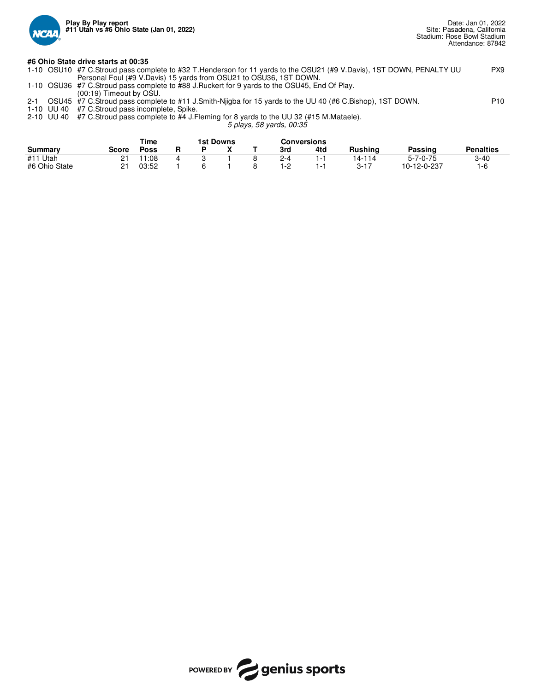

### **#6 Ohio State drive starts at 00:35**

|  | 1-10 OSU10 #7 C.Stroud pass complete to #32 T.Henderson for 11 yards to the OSU21 (#9 V.Davis), 1ST DOWN, PENALTY UU | PX9 |
|--|----------------------------------------------------------------------------------------------------------------------|-----|
|  | Personal Foul (#9 V.Davis) 15 yards from OSU21 to OSU36, 1ST DOWN.                                                   |     |
|  | 1-10 OSU36 #7 C.Stroud pass complete to #88 J.Ruckert for 9 yards to the OSU45, End Of Play.                         |     |

(00:19) Timeout by OSU.

## 2-1 OSU45 #7 C.Stroud pass complete to #11 J.Smith-Njigba for 15 yards to the UU 40 (#6 C.Bishop), 1ST DOWN. P10 1-10 UU 40 #7 C.Stroud pass incomplete, Spike.

2-10 UU 40 #7 C.Stroud pass complete to #4 J.Fleming for 8 yards to the UU 32 (#15 M.Mataele).

*5 plays, 58 yards, 00:35*

|               |       | Time           | 1st Downs |  |     | Conversions |                |                  |                  |
|---------------|-------|----------------|-----------|--|-----|-------------|----------------|------------------|------------------|
| Summary       | Score | <b>Poss</b>    |           |  | 3rd | 4td         | <b>Rushing</b> | Passinɑ          | <b>Penalties</b> |
| #11<br>. Utah | ົ     | $^{\circ}1:08$ |           |  | 2-4 | i – 1       | 14-114         | $5 - 7 - 0 - 75$ | $3 - 40$         |
| #6 Ohio State |       | 03:52          |           |  | 1-2 | 1 - ا       | 3-17           | 10-12-0-237      | '-t.             |

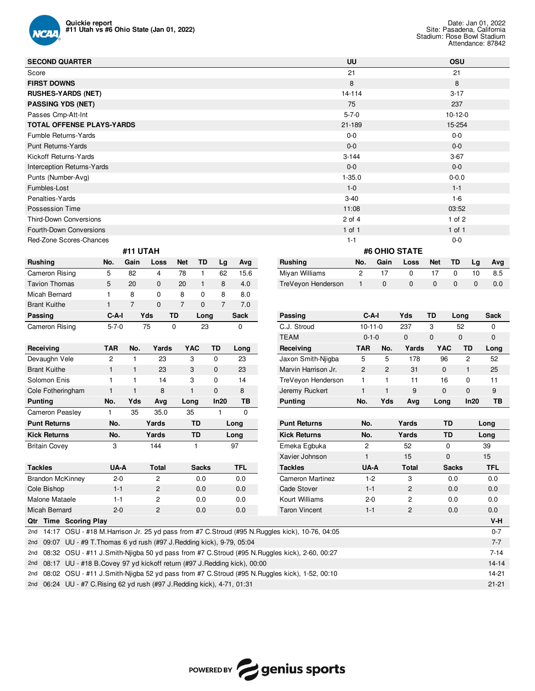

| <b>SECOND QUARTER</b>            |              |                |              |                |              |                |             |                    | UU           |              |               |              | OSU          |              |             |
|----------------------------------|--------------|----------------|--------------|----------------|--------------|----------------|-------------|--------------------|--------------|--------------|---------------|--------------|--------------|--------------|-------------|
| Score                            |              |                |              |                |              |                |             |                    | 21           |              |               |              | 21           |              |             |
| <b>FIRST DOWNS</b>               |              |                |              |                |              |                |             |                    | 8            |              |               |              | 8            |              |             |
| <b>RUSHES-YARDS (NET)</b>        |              |                |              |                |              |                |             |                    | 14-114       |              |               |              | $3 - 17$     |              |             |
| <b>PASSING YDS (NET)</b>         |              |                |              |                |              |                |             |                    | 75           |              |               |              | 237          |              |             |
| Passes Cmp-Att-Int               |              |                |              |                |              |                |             |                    | $5 - 7 - 0$  |              |               |              | $10-12-0$    |              |             |
| <b>TOTAL OFFENSE PLAYS-YARDS</b> |              |                |              |                |              |                |             |                    | 21-189       |              |               |              | 15-254       |              |             |
| Fumble Returns-Yards             |              |                |              |                |              |                |             |                    | $0 - 0$      |              |               |              | $0 - 0$      |              |             |
| <b>Punt Returns-Yards</b>        |              |                |              |                |              |                |             |                    | $0 - 0$      |              |               |              | $0-0$        |              |             |
| Kickoff Returns-Yards            |              |                |              |                |              |                |             |                    | $3 - 144$    |              |               |              | $3-67$       |              |             |
| Interception Returns-Yards       |              |                |              |                |              |                |             |                    | $0-0$        |              |               |              | $0-0$        |              |             |
| Punts (Number-Avg)               |              |                |              |                |              |                |             |                    | $1 - 35.0$   |              |               |              | $0 - 0.0$    |              |             |
| Fumbles-Lost                     |              |                |              |                |              |                |             |                    | $1 - 0$      |              |               |              | $1 - 1$      |              |             |
| Penalties-Yards                  |              |                |              |                |              |                |             |                    | $3 - 40$     |              |               |              | $1-6$        |              |             |
| Possession Time                  |              |                |              |                |              |                |             |                    | 11:08        |              |               |              | 03:52        |              |             |
| <b>Third-Down Conversions</b>    |              |                |              |                |              |                |             |                    | $2$ of $4$   |              |               |              | $1$ of $2$   |              |             |
| Fourth-Down Conversions          |              |                |              |                |              |                |             |                    | $1$ of $1$   |              |               |              | $1$ of $1$   |              |             |
| Red-Zone Scores-Chances          |              |                |              |                |              |                |             |                    | $1 - 1$      |              |               |              | $0-0$        |              |             |
|                                  |              | #11 UTAH       |              |                |              |                |             |                    |              |              | #6 OHIO STATE |              |              |              |             |
| <b>Rushing</b>                   | No.          | Gain           | Loss         | <b>Net</b>     | TD           | Lg             | Avg         | <b>Rushing</b>     | No.          | Gain         | Loss          | <b>Net</b>   | TD           | Lg           | Avg         |
| Cameron Rising                   | 5            | 82             | 4            | 78             | 1            | 62             | 15.6        | Miyan Williams     | $\mathbf{2}$ | 17           | $\mathbf 0$   | 17           | $\mathbf 0$  | 10           | 8.5         |
| <b>Tavion Thomas</b>             | 5            | 20             | $\mathbf{0}$ | 20             | $\mathbf{1}$ | 8              | 4.0         | TreVeyon Henderson | $\mathbf{1}$ | $\mathbf{0}$ | $\mathbf{0}$  | $\mathbf{0}$ | $\mathbf{0}$ | $\mathbf{0}$ | 0.0         |
| <b>Micah Bernard</b>             | 1            | 8              | 0            | 8              | $\mathbf 0$  | 8              | 8.0         |                    |              |              |               |              |              |              |             |
| <b>Brant Kuithe</b>              | $\mathbf{1}$ | $\overline{7}$ | $\mathbf{0}$ | $\overline{7}$ | $\Omega$     | $\overline{7}$ | 7.0         |                    |              |              |               |              |              |              |             |
| Passing                          | $C-A-I$      |                | Yds          | TD             | Long         |                | <b>Sack</b> | Passing            |              | $C-A-I$      | Yds           | <b>TD</b>    | Long         |              | <b>Sack</b> |

| Receiving               | <b>TAR</b> | No. | Yards          | <b>YAC</b>   | TD   | Long      |
|-------------------------|------------|-----|----------------|--------------|------|-----------|
| Devaughn Vele           | 2          |     | 23             | 3            | 0    | 23        |
| <b>Brant Kuithe</b>     |            |     | 23             | 3            | 0    | 23        |
| Solomon Enis            |            |     | 14             | 3            | 0    | 14        |
| Cole Fotheringham       |            |     | 8              | 1            | 0    | 8         |
| <b>Punting</b>          | No.        | Yds | Avg            | Long         | In20 | <b>TB</b> |
| Cameron Peasley         |            | 35  | 35.0           | 35           |      | 0         |
| <b>Punt Returns</b>     | No.        |     | Yards          | TD           |      | Long      |
| <b>Kick Returns</b>     | No.        |     | Yards          | TD           |      | Long      |
| <b>Britain Covey</b>    | 3          |     | 144            |              |      | 97        |
|                         |            |     |                |              |      |           |
| <b>Tackles</b>          | UA-A       |     | <b>Total</b>   | <b>Sacks</b> |      | TFL       |
| <b>Brandon McKinney</b> | $2 - 0$    |     | 2              | 0.0          |      | 0.0       |
| Cole Bishop             | $1 - 1$    |     | $\overline{2}$ | 0.0          |      | 0.0       |
| Malone Mataele          | $1 - 1$    |     | $\overline{c}$ | 0.0          |      | 0.0       |
| Micah Bernard           | $2 - 0$    |     | $\overline{c}$ | 0.0          |      | 0.0       |

Cameron Rising 5-7-0 75 0 23 0

| Passing             | C-A-I       |     | Yds      | TD         | Long     | Sack |
|---------------------|-------------|-----|----------|------------|----------|------|
| C.J. Stroud         | $10-11-0$   |     | 237      | 3          | 52       | 0    |
| <b>TEAM</b>         | $0 - 1 - 0$ |     | $\Omega$ | $\Omega$   | $\Omega$ | 0    |
| Receiving           | TAR         | No. | Yards    | <b>YAC</b> | TD       | Long |
| Jaxon Smith-Niigba  | 5           | 5   | 178      | 96         | 2        | 52   |
| Marvin Harrison Jr. | 2           | 2   | 31       | $\Omega$   | 1        | 25   |
| TreVeyon Henderson  |             | 1   | 11       | 16         | 0        | 11   |
| Jeremy Ruckert      |             | 1   | 9        | $\Omega$   | $\Omega$ | 9    |
| <b>Punting</b>      | No.         | Yds | Ava      | Long       | In20     | ТB   |

| <b>Punt Returns</b>  | No.     | Yards         | TD           | Long       |
|----------------------|---------|---------------|--------------|------------|
| <b>Kick Returns</b>  | No.     | Yards         | TD           | Long       |
| Emeka Egbuka         | 2       | 52            | $\Omega$     | 39         |
| Xavier Johnson       | 1       | 15            | $\Omega$     | 15         |
| <b>Tackles</b>       | UA-A    | Total         | <b>Sacks</b> | <b>TFL</b> |
| Cameron Martinez     | $1-2$   | 3             | 0.O          | 0.0        |
| Cade Stover          | $1 - 1$ | $\mathcal{P}$ | 0.0          | 0.0        |
| Kourt Williams       | $2-0$   | 2             | 0.0          | 0.0        |
| <b>Taron Vincent</b> | $1 - 1$ | 2             | 0.0          | 0.0        |
|                      |         |               |              | $V-H$      |

|  | V-H                                                                                                                                                                                                                                                                                                                                                                                                                                                                                                                                                                                    |
|--|----------------------------------------------------------------------------------------------------------------------------------------------------------------------------------------------------------------------------------------------------------------------------------------------------------------------------------------------------------------------------------------------------------------------------------------------------------------------------------------------------------------------------------------------------------------------------------------|
|  | $0 - 7$                                                                                                                                                                                                                                                                                                                                                                                                                                                                                                                                                                                |
|  | $7 - 7$                                                                                                                                                                                                                                                                                                                                                                                                                                                                                                                                                                                |
|  | $7 - 14$                                                                                                                                                                                                                                                                                                                                                                                                                                                                                                                                                                               |
|  | $14-14$                                                                                                                                                                                                                                                                                                                                                                                                                                                                                                                                                                                |
|  | 14-21                                                                                                                                                                                                                                                                                                                                                                                                                                                                                                                                                                                  |
|  | $21-21$                                                                                                                                                                                                                                                                                                                                                                                                                                                                                                                                                                                |
|  | <b>Qtr Time Scoring Play</b><br>2nd 14:17 OSU - #18 M. Harrison Jr. 25 yd pass from #7 C. Stroud (#95 N. Ruggles kick), 10-76, 04:05<br>2nd 09:07 UU - #9 T. Thomas 6 yd rush (#97 J. Redding kick), 9-79, 05:04<br>2nd 08:32 OSU - #11 J.Smith-Nijgba 50 yd pass from #7 C.Stroud (#95 N.Ruggles kick), 2-60, 00:27<br>2nd 08:17 UU - #18 B. Covey 97 yd kickoff return (#97 J. Redding kick), 00:00<br>2nd 08:02 OSU - #11 J.Smith-Nijgba 52 yd pass from #7 C.Stroud (#95 N.Ruggles kick), 1-52, 00:10<br>2nd 06:24 UU - #7 C. Rising 62 yd rush (#97 J. Redding kick), 4-71, 01:31 |

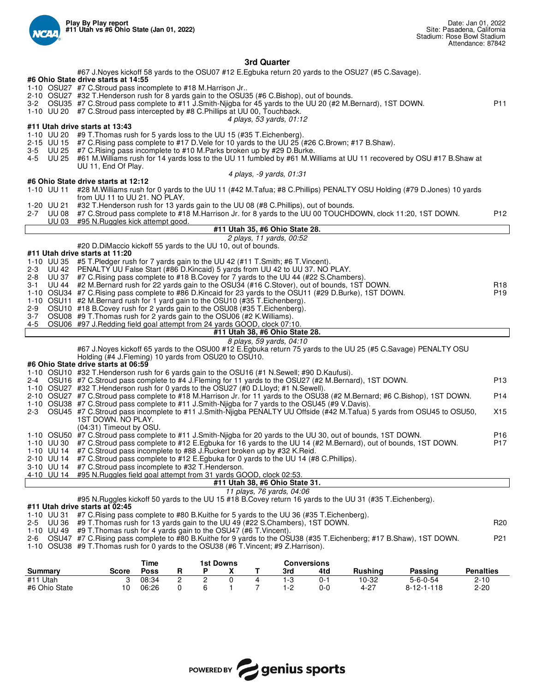

**3rd Quarter**

| #67 J.Noyes kickoff 58 yards to the OSU07 #12 E.Egbuka return 20 yards to the OSU27 (#5 C.Savage).                                                                                                                            |                  |
|-------------------------------------------------------------------------------------------------------------------------------------------------------------------------------------------------------------------------------|------------------|
| #6 Ohio State drive starts at 14:55                                                                                                                                                                                           |                  |
| 1-10 OSU27 #7 C.Stroud pass incomplete to #18 M.Harrison Jr<br>2-10 OSU27 #32 T. Henderson rush for 8 yards gain to the OSU35 (#6 C. Bishop), out of bounds.                                                                  |                  |
| 3-2 OSU35 #7 C.Stroud pass complete to #11 J.Smith-Njigba for 45 yards to the UU 20 (#2 M.Bernard), 1ST DOWN.                                                                                                                 | P11              |
| 1-10 UU 20 #7 C.Stroud pass intercepted by #8 C.Phillips at UU 00, Touchback.                                                                                                                                                 |                  |
| 4 plays, 53 yards, 01:12                                                                                                                                                                                                      |                  |
| #11 Utah drive starts at 13:43                                                                                                                                                                                                |                  |
| 1-10 UU 20 #9 T. Thomas rush for 5 yards loss to the UU 15 (#35 T. Eichenberg).                                                                                                                                               |                  |
| 2-15 UU 15 #7 C. Rising pass complete to #17 D. Vele for 10 yards to the UU 25 (#26 C. Brown; #17 B. Shaw).<br>3-5 UU 25<br>#7 C. Rising pass incomplete to #10 M. Parks broken up by #29 D. Burke.                           |                  |
| 4-5 UU 25<br>#61 M. Williams rush for 14 yards loss to the UU 11 fumbled by #61 M. Williams at UU 11 recovered by OSU #17 B. Shaw at                                                                                          |                  |
| UU 11, End Of Play.                                                                                                                                                                                                           |                  |
| 4 plays, -9 yards, 01:31                                                                                                                                                                                                      |                  |
| #6 Ohio State drive starts at 12:12                                                                                                                                                                                           |                  |
| 1-10 UU 11 #28 M. Williams rush for 0 yards to the UU 11 (#42 M. Tafua; #8 C. Phillips) PENALTY OSU Holding (#79 D. Jones) 10 yards<br>from UU 11 to UU 21. NO PLAY.                                                          |                  |
| 1-20 UU 21 #32 T. Henderson rush for 13 yards gain to the UU 08 (#8 C. Phillips), out of bounds.                                                                                                                              |                  |
| 2-7 UU 08<br>#7 C.Stroud pass complete to #18 M.Harrison Jr. for 8 yards to the UU 00 TOUCHDOWN, clock 11:20, 1ST DOWN.                                                                                                       | P12              |
| UU 03 #95 N. Ruggles kick attempt good.                                                                                                                                                                                       |                  |
| #11 Utah 35, #6 Ohio State 28.                                                                                                                                                                                                |                  |
| 2 plays, 11 yards, 00:52                                                                                                                                                                                                      |                  |
| #20 D.DiMaccio kickoff 55 yards to the UU 10, out of bounds.<br>#11 Utah drive starts at 11:20                                                                                                                                |                  |
| 1-10 UU 35 #5 T.Pledger rush for 7 yards gain to the UU 42 (#11 T.Smith; #6 T.Vincent).                                                                                                                                       |                  |
| UU 42 PENALTY UU False Start (#86 D.Kincaid) 5 yards from UU 42 to UU 37. NO PLAY.<br>2-3                                                                                                                                     |                  |
| $2 - 8$<br>UU 37 #7 C. Rising pass complete to #18 B. Covey for 7 yards to the UU 44 (#22 S. Chambers).                                                                                                                       |                  |
| UU 44 #2 M. Bernard rush for 22 yards gain to the OSU34 (#16 C. Stover), out of bounds, 1ST DOWN.<br>3-1                                                                                                                      | R18              |
| 1-10 OSU34 #7 C. Rising pass complete to #86 D. Kincaid for 23 yards to the OSU11 (#29 D. Burke), 1ST DOWN.                                                                                                                   | P <sub>19</sub>  |
| 1-10 OSU11 #2 M.Bernard rush for 1 yard gain to the OSU10 (#35 T.Eichenberg).<br>OSU10 #18 B.Covey rush for 2 yards gain to the OSU08 (#35 T.Eichenberg).<br>2-9                                                              |                  |
| 3-7 OSU08 #9 T. Thomas rush for 2 yards gain to the OSU06 (#2 K. Williams).                                                                                                                                                   |                  |
| 4-5 OSU06 #97 J.Redding field goal attempt from 24 yards GOOD, clock 07:10.                                                                                                                                                   |                  |
| #11 Utah 38, #6 Ohio State 28.                                                                                                                                                                                                |                  |
| 8 plays, 59 yards, 04:10                                                                                                                                                                                                      |                  |
| #67 J.Noyes kickoff 65 yards to the OSU00 #12 E.Egbuka return 75 yards to the UU 25 (#5 C.Savage) PENALTY OSU<br>Holding (#4 J.Fleming) 10 yards from OSU20 to OSU10.                                                         |                  |
| #6 Ohio State drive starts at 06:59                                                                                                                                                                                           |                  |
| 1-10 OSU10 #32 T. Henderson rush for 6 yards gain to the OSU16 (#1 N. Sewell; #90 D. Kaufusi).                                                                                                                                |                  |
| 2-4 OSU16 #7 C.Stroud pass complete to #4 J.Fleming for 11 yards to the OSU27 (#2 M.Bernard), 1ST DOWN.                                                                                                                       | P <sub>13</sub>  |
| 1-10 OSU27 #32 T. Henderson rush for 0 yards to the OSU27 (#0 D. Lloyd; #1 N. Sewell).                                                                                                                                        |                  |
| 2-10 OSU27 #7 C.Stroud pass complete to #18 M.Harrison Jr. for 11 yards to the OSU38 (#2 M.Bernard; #6 C.Bishop), 1ST DOWN.                                                                                                   | P14              |
| 1-10 OSU38 #7 C.Stroud pass complete to #11 J.Smith-Nigba for 7 yards to the OSU45 (#9 V.Davis).<br>2-3 OSU45 #7 C.Stroud pass incomplete to #11 J.Smith-Njigba PENALTY UU Offside (#42 M.Tafua) 5 yards from OSU45 to OSU50, | X15              |
| 1ST DOWN. NO PLAY.                                                                                                                                                                                                            |                  |
| (04:31) Timeout by OSU.                                                                                                                                                                                                       |                  |
| 1-10 OSU50 #7 C.Stroud pass complete to #11 J.Smith-Njigba for 20 yards to the UU 30, out of bounds, 1ST DOWN.                                                                                                                | P <sub>16</sub>  |
| 1-10 UU 30 #7 C.Stroud pass complete to #12 E.Egbuka for 16 yards to the UU 14 (#2 M.Bernard), out of bounds, 1ST DOWN.                                                                                                       | P <sub>17</sub>  |
| 1-10 UU 14 #7 C.Stroud pass incomplete to #88 J.Ruckert broken up by #32 K.Reid.<br>2-10 UU 14 #7 C.Stroud pass complete to #12 E.Egbuka for 0 yards to the UU 14 (#8 C.Phillips).                                            |                  |
| 3-10 UU 14 #7 C.Stroud pass incomplete to #32 T. Henderson.                                                                                                                                                                   |                  |
| 4-10 UU 14<br>#95 N. Ruggles field goal attempt from 31 yards GOOD, clock 02:53.                                                                                                                                              |                  |
| #11 Utah 38, #6 Ohio State 31.                                                                                                                                                                                                |                  |
| 11 plays, 76 yards, 04:06                                                                                                                                                                                                     |                  |
| #95 N. Ruggles kickoff 50 yards to the UU 15 #18 B. Covey return 16 yards to the UU 31 (#35 T. Eichenberg).<br>#11 Utah drive starts at 02:45                                                                                 |                  |
| 1-10 UU 31<br>#7 C. Rising pass complete to #80 B. Kuithe for 5 yards to the UU 36 (#35 T. Eichenberg).                                                                                                                       |                  |
| #9 T. Thomas rush for 13 yards gain to the UU 49 (#22 S. Chambers), 1ST DOWN.<br>2-5 UU 36                                                                                                                                    | R <sub>20</sub>  |
| #9 T. Thomas rush for 4 yards gain to the OSU47 (#6 T. Vincent).<br>1-10 UU 49                                                                                                                                                |                  |
| 2-6 OSU47 #7 C.Rising pass complete to #80 B.Kuithe for 9 yards to the OSU38 (#35 T.Eichenberg; #17 B.Shaw), 1ST DOWN.                                                                                                        | P <sub>21</sub>  |
| 1-10 OSU38 #9 T. Thomas rush for 0 yards to the OSU38 (#6 T. Vincent; #9 Z. Harrison).                                                                                                                                        |                  |
|                                                                                                                                                                                                                               |                  |
| Time<br><b>Conversions</b><br><b>1st Downs</b><br><b>Passing</b><br>Summary<br>Score Poss<br>X<br><b>Rushing</b><br>R.<br>P.<br>Τ<br>3rd<br>4td                                                                               | <b>Penalties</b> |

|               |       | סווונ |  | בוואטש ופו |  |     | <b>UUIIVEISIUIIS</b> |                |                    |           |  |  |  |
|---------------|-------|-------|--|------------|--|-----|----------------------|----------------|--------------------|-----------|--|--|--|
| Summarv       | Score | Poss  |  |            |  | 3rd | 4td                  | <b>Rushing</b> | Passinɑ            | Penalties |  |  |  |
| #11 Utah      |       | 08:34 |  |            |  |     | 0-                   | 10-32          | $5 - 6 - 0 - 54$   | 2-10      |  |  |  |
| #6 Ohio State |       | 06:26 |  |            |  |     | 0-0                  | $4 - 27$       | $8 - 12 - 1 - 118$ | 2-20      |  |  |  |

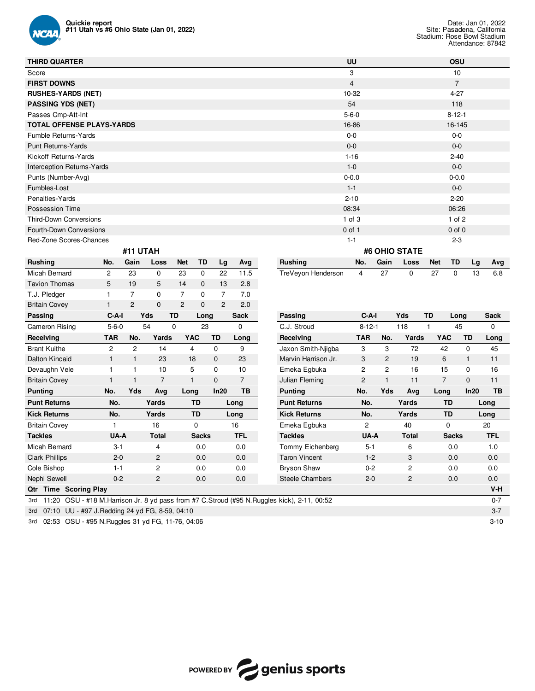

| <b>THIRD QUARTER</b>             |                |          |             |            |    |    |      |                    | UU             |               |             |            | <b>OSU</b>     |       |     |  |
|----------------------------------|----------------|----------|-------------|------------|----|----|------|--------------------|----------------|---------------|-------------|------------|----------------|-------|-----|--|
| Score                            |                |          |             |            |    |    |      |                    | 3              |               |             |            | 10             |       |     |  |
| <b>FIRST DOWNS</b>               |                |          |             |            |    |    |      |                    | $\overline{4}$ |               |             |            | $\overline{7}$ |       |     |  |
| <b>RUSHES-YARDS (NET)</b>        |                |          |             |            |    |    |      |                    | 10-32          |               |             |            | $4 - 27$       |       |     |  |
| <b>PASSING YDS (NET)</b>         |                |          |             |            |    |    |      |                    | 54             |               |             |            | 118            |       |     |  |
| Passes Cmp-Att-Int               |                |          |             |            |    |    |      |                    | $5 - 6 - 0$    |               |             |            | $8 - 12 - 1$   |       |     |  |
| <b>TOTAL OFFENSE PLAYS-YARDS</b> |                |          |             |            |    |    |      |                    | 16-86          |               |             |            | 16-145         |       |     |  |
| Fumble Returns-Yards             |                |          |             |            |    |    |      |                    | $0-0$          |               |             |            | $0-0$          |       |     |  |
| Punt Returns-Yards               |                |          |             |            |    |    |      |                    | $0-0$          |               |             |            | $0-0$          |       |     |  |
| Kickoff Returns-Yards            |                |          |             |            |    |    |      |                    | $1 - 16$       |               |             |            | $2 - 40$       |       |     |  |
| Interception Returns-Yards       |                |          |             |            |    |    |      |                    | $1 - 0$        |               |             |            | $0 - 0$        |       |     |  |
| Punts (Number-Avg)               |                |          |             |            |    |    |      |                    | $0 - 0.0$      |               |             |            | $0 - 0.0$      |       |     |  |
| Fumbles-Lost                     |                |          |             |            |    |    |      |                    | $1 - 1$        |               |             |            |                | $0-0$ |     |  |
| Penalties-Yards                  |                |          |             |            |    |    |      |                    | $2 - 10$       |               |             |            | $2 - 20$       |       |     |  |
| Possession Time                  |                |          |             |            |    |    |      |                    | 08:34          |               |             |            | 06:26          |       |     |  |
| Third-Down Conversions           |                |          |             |            |    |    |      |                    | $1$ of $3$     |               |             |            | $1$ of $2$     |       |     |  |
| Fourth-Down Conversions          |                |          |             |            |    |    |      |                    | $0$ of 1       |               |             |            | $0$ of $0$     |       |     |  |
| Red-Zone Scores-Chances          |                |          |             |            |    |    |      |                    | $1 - 1$        |               |             |            | $2 - 3$        |       |     |  |
|                                  |                | #11 UTAH |             |            |    |    |      |                    |                | #6 OHIO STATE |             |            |                |       |     |  |
| <b>Rushing</b>                   | No.            | Gain     | Loss        | <b>Net</b> | TD | Lg | Avg  | <b>Rushing</b>     | No.            | Gain          | Loss        | <b>Net</b> | TD             | Lg    | Avg |  |
| Micah Bernard                    | $\overline{c}$ | 23       | $\mathbf 0$ | 23         | 0  | 22 | 11.5 | TreVeyon Henderson | 4              | 27            | $\mathbf 0$ | 27         | $\mathbf 0$    | 13    | 6.8 |  |

| <b>Tavion Thomas</b>            | 5           | 19             | 5              | 14           | $\mathbf{0}$ | 13             | 2.8        |
|---------------------------------|-------------|----------------|----------------|--------------|--------------|----------------|------------|
| T.J. Pledger                    |             | 7              | 0              | 7            | 0            | 7              | 7.0        |
| <b>Britain Covey</b>            |             | $\overline{2}$ | $\mathbf{0}$   | 2            | 0            | $\overline{c}$ | 2.0        |
| Passing                         | $C-A-I$     |                | Yds            | <b>TD</b>    | Long         |                | Sack       |
| Cameron Rising                  | $5 - 6 - 0$ |                | 54             | 0            | 23           |                | 0          |
| Receiving                       | <b>TAR</b>  | No.            | Yards          | <b>YAC</b>   |              | TD             | Long       |
| <b>Brant Kuithe</b>             | 2           | $\overline{c}$ | 14             | 4            |              | $\mathbf 0$    | 9          |
| <b>Dalton Kincaid</b>           |             |                | 23             | 18           |              | $\mathbf 0$    | 23         |
| Devaughn Vele                   |             |                | 10             | 5            |              | 0              | 10         |
| <b>Britain Covey</b>            |             |                | 7              | $\mathbf{1}$ |              | 0              | 7          |
| <b>Punting</b>                  | No.         | Yds            | Avg            | Long         |              | In20           | TВ         |
| <b>Punt Returns</b>             | No.         |                | Yards          |              | TD           |                | Long       |
| <b>Kick Returns</b>             | No.         |                | Yards          |              | TD           |                | Long       |
| <b>Britain Covey</b>            |             |                | 16             |              | 0            |                | 16         |
| <b>Tackles</b>                  | UA-A        |                | <b>Total</b>   |              | <b>Sacks</b> |                | <b>TFL</b> |
| Micah Bernard                   | $3 - 1$     |                | 4              |              | 0.0          |                | 0.0        |
| <b>Clark Phillips</b>           | $2 - 0$     |                | $\overline{2}$ |              | 0.0          |                | 0.0        |
| Cole Bishop                     | $1 - 1$     |                | 2              |              | 0.0          |                | 0.0        |
| Nephi Sewell                    | $0 - 2$     |                | $\overline{c}$ |              | 0.0          |                | 0.0        |
| <b>Time Scoring Play</b><br>Qtr |             |                |                |              |              |                |            |

| Britain Covey                                             |             | $\mathbf{z}$   | 0                 | 2<br>U       | $\mathbf{z}$ | 2.0            |                                                                                                |                |                |                |                |              |             |
|-----------------------------------------------------------|-------------|----------------|-------------------|--------------|--------------|----------------|------------------------------------------------------------------------------------------------|----------------|----------------|----------------|----------------|--------------|-------------|
| Passing                                                   | C-A-I       |                | Yds<br>TD         | Long         |              | <b>Sack</b>    | Passing                                                                                        | $C-A-I$        |                | Yds            | TD<br>Long     |              | <b>Sack</b> |
| Cameron Rising                                            | $5 - 6 - 0$ |                | 54<br>$\mathbf 0$ | 23           |              | 0              | C.J. Stroud                                                                                    | $8 - 12 - 1$   |                | 118            | 45             |              | 0           |
| Receiving                                                 | TAR         | No.            | Yards             | <b>YAC</b>   | TD           | Long           | Receiving                                                                                      | <b>TAR</b>     | No.            | Yards          | <b>YAC</b>     | TD           | Long        |
| <b>Brant Kuithe</b>                                       | 2           | $\overline{2}$ | 14                | 4            | 0            | 9              | Jaxon Smith-Niigba                                                                             | 3              | 3              | 72             | 42             | 0            | 45          |
| Dalton Kincaid                                            | 1           | $\mathbf{1}$   | 23                | 18           | $\mathbf{0}$ | 23             | Marvin Harrison Jr.                                                                            | 3              | 2              | 19             | 6              | $\mathbf{1}$ | 11          |
| Devaughn Vele                                             |             |                | 10                | 5            | $\mathbf 0$  | 10             | Emeka Egbuka                                                                                   | $\overline{c}$ | $\overline{c}$ | 16             | 15             | 0            | 16          |
| <b>Britain Covey</b>                                      |             |                | 7                 | 1            | $\mathbf{0}$ | $\overline{7}$ | Julian Fleming                                                                                 | $\overline{2}$ | $\mathbf{1}$   | 11             | $\overline{7}$ | $\mathbf{0}$ | 11          |
| <b>Punting</b>                                            | No.         | <b>Yds</b>     | Avg               | Long         | In20         | TB             | <b>Punting</b>                                                                                 | No.            | <b>Yds</b>     | Avg            | Long           | ln20         | TB          |
| <b>Punt Returns</b>                                       | No.         |                | Yards             | TD           |              | Long           | <b>Punt Returns</b>                                                                            | No.            |                | Yards          | <b>TD</b>      |              | Long        |
| <b>Kick Returns</b>                                       | No.         |                | Yards             | TD           |              | Long           | <b>Kick Returns</b>                                                                            | No.            |                | Yards          | <b>TD</b>      |              | Long        |
| <b>Britain Covey</b>                                      | 1           |                | 16                | 0            |              | 16             | Emeka Egbuka                                                                                   | $\overline{2}$ |                | 40             | 0              |              | 20          |
| <b>Tackles</b>                                            | UA-A        |                | <b>Total</b>      | <b>Sacks</b> |              | <b>TFL</b>     | <b>Tackles</b>                                                                                 | UA-A           |                | <b>Total</b>   | <b>Sacks</b>   |              | <b>TFL</b>  |
| Micah Bernard                                             | $3 - 1$     |                | 4                 | 0.0          |              | 0.0            | Tommy Eichenberg                                                                               | $5 - 1$        |                | 6              | 0.0            |              | 1.0         |
| <b>Clark Phillips</b>                                     | $2 - 0$     |                | 2                 | 0.0          |              | 0.0            | <b>Taron Vincent</b>                                                                           | $1 - 2$        |                | 3              | 0.0            |              | 0.0         |
| Cole Bishop                                               | $1 - 1$     |                | $\overline{c}$    | 0.0          |              | 0.0            | <b>Bryson Shaw</b>                                                                             | $0 - 2$        |                | $\overline{2}$ | 0.0            |              | 0.0         |
| Nephi Sewell                                              | $0 - 2$     |                | $\overline{c}$    | 0.0          |              | 0.0            | <b>Steele Chambers</b>                                                                         | $2 - 0$        |                | 2              | 0.0            |              | 0.0         |
| <b>Time Scoring Play</b><br>Qtr                           |             |                |                   |              |              |                |                                                                                                |                |                |                |                |              | $V-H$       |
| 3rd                                                       |             |                |                   |              |              |                | 11:20 OSU - #18 M. Harrison Jr. 8 yd pass from #7 C. Stroud (#95 N. Ruggles kick), 2-11, 00:52 |                |                |                |                |              | $0 - 7$     |
| UU - #97 J. Redding 24 yd FG, 8-59, 04:10<br>07:10<br>3rd |             |                |                   |              |              |                |                                                                                                |                |                |                |                |              | $3 - 7$     |
|                                                           |             |                |                   |              |              |                |                                                                                                |                |                |                |                |              |             |

3rd 07:10 UU - #97 J.Redding 24 yd FG, 8-59, 04:10 3rd 02:53 OSU - #95 N.Ruggles 31 yd FG, 11-76, 04:06 3-10

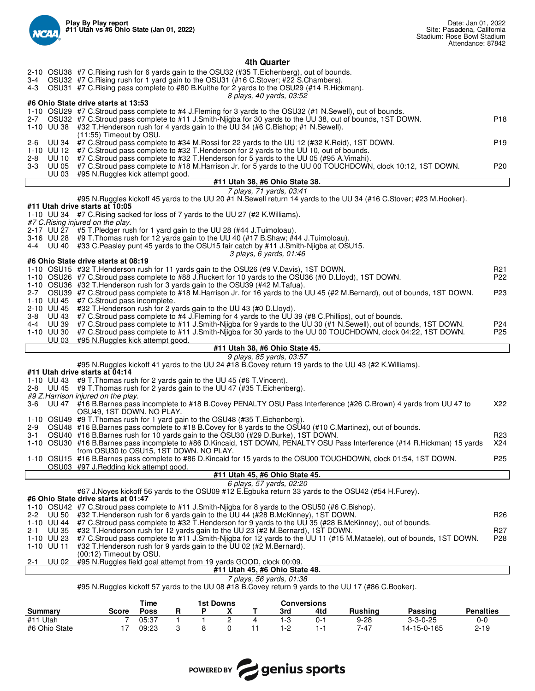

|                          | 4th Quarter                                                                                                                                                                                                   |                 |
|--------------------------|---------------------------------------------------------------------------------------------------------------------------------------------------------------------------------------------------------------|-----------------|
|                          | 2-10 OSU38 #7 C. Rising rush for 6 yards gain to the OSU32 (#35 T. Eichenberg), out of bounds.                                                                                                                |                 |
|                          | 3-4 OSU32 #7 C.Rising rush for 1 yard gain to the OSU31 (#16 C.Stover; #22 S.Chambers).                                                                                                                       |                 |
|                          | 4-3 OSU31 #7 C.Rising pass complete to #80 B.Kuithe for 2 yards to the OSU29 (#14 R.Hickman).<br>8 plays, 40 yards, 03:52                                                                                     |                 |
|                          | #6 Ohio State drive starts at 13:53                                                                                                                                                                           |                 |
|                          | 1-10 OSU29 #7 C.Stroud pass complete to #4 J.Fleming for 3 yards to the OSU32 (#1 N.Sewell), out of bounds.                                                                                                   |                 |
|                          | 2-7 OSU32 #7 C.Stroud pass complete to #11 J.Smith-Nijgba for 30 yards to the UU 38, out of bounds, 1ST DOWN.<br>1-10 UU 38 #32 T. Henderson rush for 4 yards gain to the UU 34 (#6 C. Bishop; #1 N. Sewell). | P <sub>18</sub> |
|                          | (11:55) Timeout by OSU.                                                                                                                                                                                       |                 |
| UU 34<br>2-6             | #7 C.Stroud pass complete to #34 M.Rossi for 22 yards to the UU 12 (#32 K.Reid), 1ST DOWN.                                                                                                                    | P <sub>19</sub> |
|                          | 1-10 UU 12 #7 C.Stroud pass complete to #32 T.Henderson for 2 yards to the UU 10, out of bounds.                                                                                                              |                 |
| <b>UU 10</b><br>$2 - 8$  | #7 C.Stroud pass complete to #32 T.Henderson for 5 yards to the UU 05 (#95 A.Vimahi).                                                                                                                         |                 |
| <b>UU 03</b>             | 3-3 UU 05 #7 C.Stroud pass complete to #18 M.Harrison Jr. for 5 yards to the UU 00 TOUCHDOWN, clock 10:12, 1ST DOWN.<br>#95 N.Ruggles kick attempt good.                                                      | P <sub>20</sub> |
|                          | #11 Utah 38, #6 Ohio State 38.                                                                                                                                                                                |                 |
|                          | 7 plays, 71 yards, 03:41                                                                                                                                                                                      |                 |
|                          | #95 N.Ruggles kickoff 45 yards to the UU 20 #1 N.Sewell return 14 yards to the UU 34 (#16 C.Stover; #23 M.Hooker).<br>#11 Utah drive starts at 10:05                                                          |                 |
|                          | 1-10 UU 34 #7 C. Rising sacked for loss of 7 yards to the UU 27 (#2 K. Williams).                                                                                                                             |                 |
|                          | #7 C. Rising injured on the play.                                                                                                                                                                             |                 |
|                          | 2-17 UU 27 #5 T. Pledger rush for 1 yard gain to the UU 28 (#44 J. Tuimoloau).                                                                                                                                |                 |
|                          | 3-16 UU 28 #9 T. Thomas rush for 12 yards gain to the UU 40 (#17 B. Shaw; #44 J. Tuimoloau).                                                                                                                  |                 |
|                          | 4-4 UU 40 #33 C.Peasley punt 45 yards to the OSU15 fair catch by #11 J.Smith-Njigba at OSU15.<br>3 plays, 6 yards, 01:46                                                                                      |                 |
|                          | #6 Ohio State drive starts at 08:19                                                                                                                                                                           |                 |
|                          | 1-10 OSU15 #32 T. Henderson rush for 11 yards gain to the OSU26 (#9 V. Davis), 1ST DOWN.                                                                                                                      | R <sub>21</sub> |
|                          | 1-10 OSU26 #7 C.Stroud pass complete to #88 J.Ruckert for 10 yards to the OSU36 (#0 D.Lloyd), 1ST DOWN.                                                                                                       | P <sub>22</sub> |
|                          | 1-10 OSU36 #32 T. Henderson rush for 3 yards gain to the OSU39 (#42 M. Tafua).                                                                                                                                |                 |
|                          | 2-7 OSU39 #7 C.Stroud pass complete to #18 M.Harrison Jr. for 16 yards to the UU 45 (#2 M.Bernard), out of bounds, 1ST DOWN.<br>1-10 UU 45 #7 C.Stroud pass incomplete.                                       | P23             |
|                          | 2-10 UU 45 #32 T. Henderson rush for 2 yards gain to the UU 43 (#0 D. Lloyd).                                                                                                                                 |                 |
|                          | 3-8 UU 43 #7 C.Stroud pass complete to #4 J.Fleming for 4 yards to the UU 39 (#8 C.Phillips), out of bounds.                                                                                                  |                 |
| 4-4 UU 39                | #7 C.Stroud pass complete to #11 J.Smith-Nijgba for 9 yards to the UU 30 (#1 N.Sewell), out of bounds, 1ST DOWN.                                                                                              | P24             |
|                          |                                                                                                                                                                                                               |                 |
|                          | 1-10 UU 30 #7 C.Stroud pass complete to #11 J.Smith-Nijgba for 30 yards to the UU 00 TOUCHDOWN, clock 04:22, 1ST DOWN.                                                                                        | P <sub>25</sub> |
| UU 03                    | #95 N.Ruggles kick attempt good.                                                                                                                                                                              |                 |
|                          | #11 Utah 38, #6 Ohio State 45.<br>9 plays, 85 yards, 03:57                                                                                                                                                    |                 |
|                          | #95 N.Ruggles kickoff 41 yards to the UU 24 #18 B.Covey return 19 yards to the UU 43 (#2 K.Williams).                                                                                                         |                 |
|                          | #11 Utah drive starts at 04:14                                                                                                                                                                                |                 |
|                          | 1-10 UU 43 #9 T. Thomas rush for 2 yards gain to the UU 45 (#6 T. Vincent).<br>2-8 UU 45 #9 T. Thomas rush for 2 yards gain to the UU 47 (#35 T. Eichenberg).                                                 |                 |
|                          | #9 Z. Harrison injured on the play.                                                                                                                                                                           |                 |
|                          | 3-6 UU 47 #16 B.Barnes pass incomplete to #18 B.Covey PENALTY OSU Pass Interference (#26 C.Brown) 4 yards from UU 47 to                                                                                       | X22             |
|                          | OSU49, 1ST DOWN. NO PLAY.                                                                                                                                                                                     |                 |
|                          | 1-10 OSU49 #9 T. Thomas rush for 1 yard gain to the OSU48 (#35 T. Eichenberg).<br>2-9 OSU48 #16 B.Barnes pass complete to #18 B.Covey for 8 yards to the OSU40 (#10 C.Martinez), out of bounds.               |                 |
| 3-1                      | OSU40 #16 B.Barnes rush for 10 yards gain to the OSU30 (#29 D.Burke), 1ST DOWN.                                                                                                                               | R23             |
|                          | 1-10 OSU30 #16 B.Barnes pass incomplete to #86 D.Kincaid, 1ST DOWN, PENALTY OSU Pass Interference (#14 R.Hickman) 15 yards                                                                                    | X24             |
|                          | from OSU30 to OSU15, 1ST DOWN. NO PLAY.                                                                                                                                                                       |                 |
|                          | 1-10 OSU15 #16 B.Barnes pass complete to #86 D.Kincaid for 15 yards to the OSU00 TOUCHDOWN, clock 01:54, 1ST DOWN.<br>OSU03 #97 J.Redding kick attempt good.                                                  | P <sub>25</sub> |
|                          | #11 Utah 45, #6 Ohio State 45.                                                                                                                                                                                |                 |
|                          | 6 plays, 57 yards, 02:20                                                                                                                                                                                      |                 |
|                          | #67 J. Noyes kickoff 56 yards to the OSU09 #12 E. Egbuka return 33 yards to the OSU42 (#54 H. Furey).<br>#6 Ohio State drive starts at 01:47                                                                  |                 |
|                          | 1-10 OSU42 #7 C.Stroud pass complete to #11 J.Smith-Njigba for 8 yards to the OSU50 (#6 C.Bishop).                                                                                                            |                 |
| UU 50<br>$2 - 2$         | #32 T.Henderson rush for 6 yards gain to the UU 44 (#28 B.McKinney), 1ST DOWN.                                                                                                                                | R <sub>26</sub> |
| 1-10 UU 44               | #7 C.Stroud pass complete to #32 T.Henderson for 9 yards to the UU 35 (#28 B.McKinney), out of bounds.                                                                                                        |                 |
| UU 35<br>$2 - 1$         | #32 T.Henderson rush for 12 yards gain to the UU 23 (#2 M.Bernard), 1ST DOWN.                                                                                                                                 | R <sub>27</sub> |
| 1-10 UU 23<br>1-10 UU 11 | #7 C.Stroud pass complete to #11 J.Smith-Njigba for 12 yards to the UU 11 (#15 M.Mataele), out of bounds, 1ST DOWN.<br>#32 T. Henderson rush for 9 yards gain to the UU 02 (#2 M. Bernard).                   | P28             |
|                          | (00:12) Timeout by OSU.                                                                                                                                                                                       |                 |
| 2-1                      | UU 02 #95 N.Ruggles field goal attempt from 19 yards GOOD, clock 00:09.                                                                                                                                       |                 |
|                          | #11 Utah 45, #6 Ohio State 48.<br>7 plays, 56 yards, 01:38                                                                                                                                                    |                 |

#95 N.Ruggles kickoff 57 yards to the UU 08 #18 B.Covey return 9 yards to the UU 17 (#86 C.Booker).

|               | Time<br>1st Downs |       |  |  |  |      | Conversions |                |                  |                  |
|---------------|-------------------|-------|--|--|--|------|-------------|----------------|------------------|------------------|
| Summary       | <b>Score</b>      | Poss  |  |  |  | 3rd  | 4td         | <b>Rushing</b> | Passing          | <b>Penalties</b> |
| Utah<br>#11   |                   | 05:37 |  |  |  | l -3 | . - ل       | 9-28           | $3 - 3 - 0 - 25$ | 0-C              |
| #6 Ohio State |                   | 09:23 |  |  |  | 1-2  | . .         | 7-47           | 14-15-0-165      | $2 - 19$         |